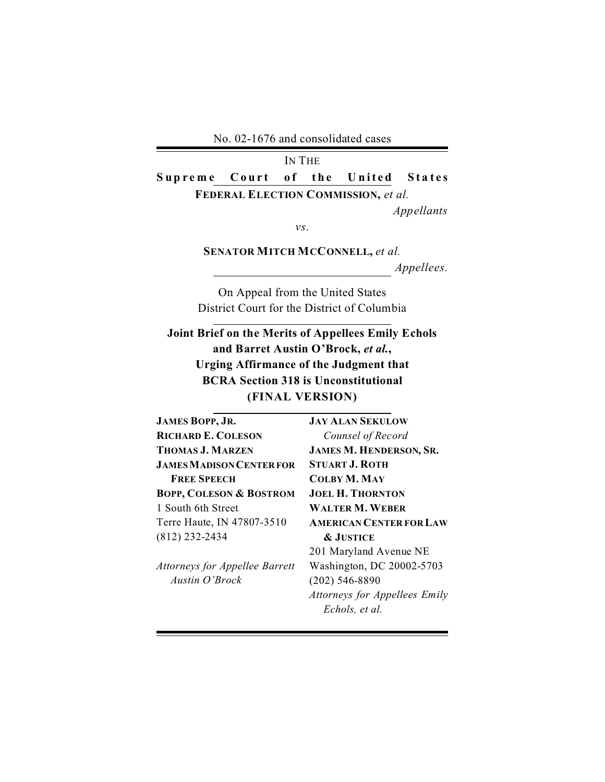No. 02-1676 and consolidated cases

IN THE Supreme Court of the United States **FEDERAL ELECTION COMMISSION,** *et al. Appellants* 

*vs*.

**SENATOR MITCH MCCONNELL,** *et al. Appellees.* 

On Appeal from the United States District Court for the District of Columbia

**Joint Brief on the Merits of Appellees Emily Echols and Barret Austin O'Brock,** *et al.***, Urging Affirmance of the Judgment that BCRA Section 318 is Unconstitutional (FINAL VERSION)** 

| <b>JAMES BOPP, JR.</b>                | <b>JAY ALAN SEKULOW</b>        |
|---------------------------------------|--------------------------------|
| <b>RICHARD E. COLESON</b>             | Counsel of Record              |
| THOMAS J. MARZEN                      | <b>JAMES M. HENDERSON, SR.</b> |
| <b>JAMES MADISON CENTER FOR</b>       | <b>STUART J. ROTH</b>          |
| <b>FREE SPEECH</b>                    | <b>COLBY M. MAY</b>            |
| <b>BOPP, COLESON &amp; BOSTROM</b>    | <b>JOEL H. THORNTON</b>        |
| 1 South 6th Street                    | <b>WALTER M. WEBER</b>         |
| Terre Haute, IN 47807-3510            | <b>AMERICAN CENTER FOR LAW</b> |
| (812) 232-2434                        | <b>&amp; JUSTICE</b>           |
|                                       | 201 Maryland Avenue NE         |
| <b>Attorneys for Appellee Barrett</b> | Washington, DC 20002-5703      |
| Austin O'Brock                        | $(202)$ 546-8890               |

*Attorneys for Appellees Emily* 

*Echols, et al.*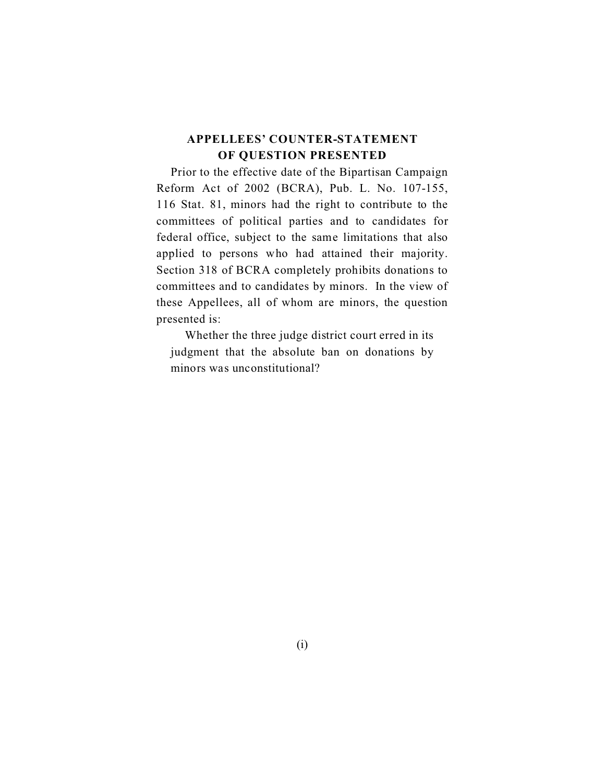### **APPELLEES' COUNTER-STATEMENT OF QUESTION PRESENTED**

Prior to the effective date of the Bipartisan Campaign Reform Act of 2002 (BCRA), Pub. L. No. 107-155, 116 Stat. 81, minors had the right to contribute to the committees of political parties and to candidates for federal office, subject to the same limitations that also applied to persons who had attained their majority. Section 318 of BCRA completely prohibits donations to committees and to candidates by minors. In the view of these Appellees, all of whom are minors, the question presented is:

Whether the three judge district court erred in its judgment that the absolute ban on donations by minors was unconstitutional?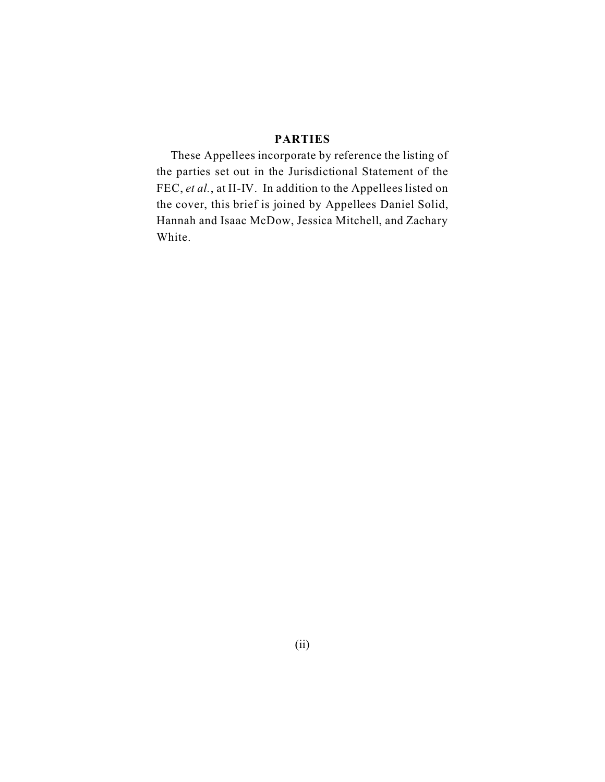### **PARTIES**

These Appellees incorporate by reference the listing of the parties set out in the Jurisdictional Statement of the FEC, *et al.*, at II-IV. In addition to the Appellees listed on the cover, this brief is joined by Appellees Daniel Solid, Hannah and Isaac McDow, Jessica Mitchell, and Zachary White.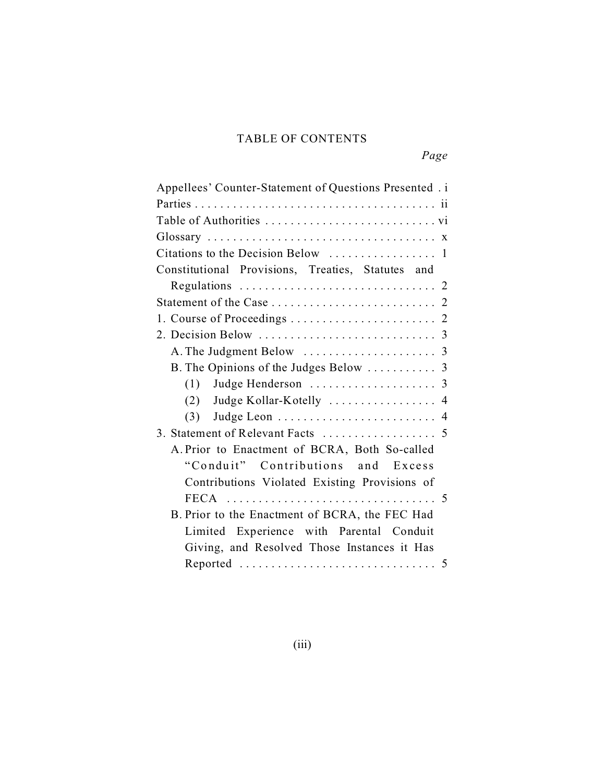## TABLE OF CONTENTS

| Appellees' Counter-Statement of Questions Presented.i |  |
|-------------------------------------------------------|--|
|                                                       |  |
|                                                       |  |
|                                                       |  |
|                                                       |  |
| Constitutional Provisions, Treaties, Statutes and     |  |
|                                                       |  |
|                                                       |  |
|                                                       |  |
|                                                       |  |
|                                                       |  |
|                                                       |  |
|                                                       |  |
| (2) Judge Kollar-Kotelly  4                           |  |
|                                                       |  |
|                                                       |  |
| A. Prior to Enactment of BCRA, Both So-called         |  |
| "Conduit" Contributions and Excess                    |  |
| Contributions Violated Existing Provisions of         |  |
|                                                       |  |
| B. Prior to the Enactment of BCRA, the FEC Had        |  |
| Limited Experience with Parental Conduit              |  |
| Giving, and Resolved Those Instances it Has           |  |
|                                                       |  |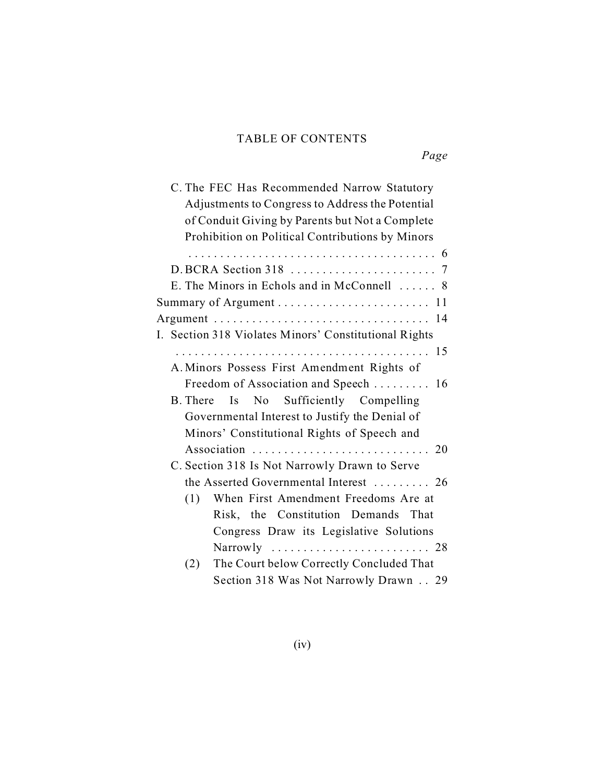## TABLE OF CONTENTS

*Page* 

| C. The FEC Has Recommended Narrow Statutory           |
|-------------------------------------------------------|
| Adjustments to Congress to Address the Potential      |
| of Conduit Giving by Parents but Not a Complete       |
| Prohibition on Political Contributions by Minors      |
|                                                       |
|                                                       |
|                                                       |
| E. The Minors in Echols and in McConnell  8           |
|                                                       |
|                                                       |
| I. Section 318 Violates Minors' Constitutional Rights |
|                                                       |
| A. Minors Possess First Amendment Rights of           |
| Freedom of Association and Speech  16                 |
| Is No Sufficiently Compelling<br>B. There             |
|                                                       |
| Governmental Interest to Justify the Denial of        |
| Minors' Constitutional Rights of Speech and           |
|                                                       |
| C. Section 318 Is Not Narrowly Drawn to Serve         |
| the Asserted Governmental Interest  26                |
| When First Amendment Freedoms Are at<br>(1)           |
| Risk, the Constitution Demands That                   |
| Congress Draw its Legislative Solutions               |
| Narrowly  28                                          |
|                                                       |
| The Court below Correctly Concluded That<br>(2)       |
| Section 318 Was Not Narrowly Drawn 29                 |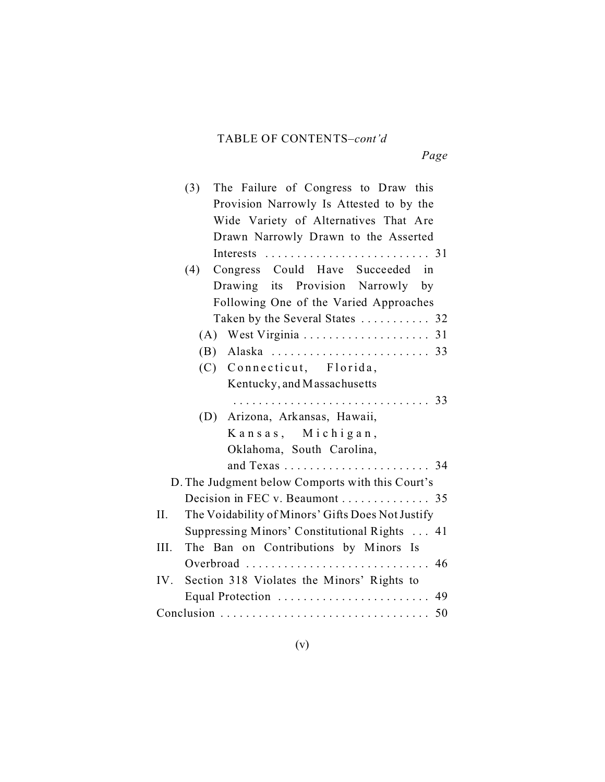# TABLE OF CONTENTS–*cont'd*

*Page* 

| The Failure of Congress to Draw this<br>(3)              |
|----------------------------------------------------------|
| Provision Narrowly Is Attested to by the                 |
| Wide Variety of Alternatives That Are                    |
| Drawn Narrowly Drawn to the Asserted                     |
|                                                          |
| (4)<br>Congress Could Have Succeeded in                  |
| Drawing its Provision Narrowly by                        |
| Following One of the Varied Approaches                   |
| Taken by the Several States  32                          |
| (A)                                                      |
|                                                          |
| (C) Connecticut, Florida,                                |
| Kentucky, and Massachusetts                              |
|                                                          |
| Arizona, Arkansas, Hawaii,<br>(D)                        |
| Kansas, Michigan,                                        |
| Oklahoma, South Carolina,                                |
| and Texas  34                                            |
| D. The Judgment below Comports with this Court's         |
| Decision in FEC v. Beaumont 35                           |
| The Voidability of Minors' Gifts Does Not Justify<br>II. |
| Suppressing Minors' Constitutional Rights  41            |
| III.<br>The Ban on Contributions by Minors Is            |
| Overbroad  46                                            |
| IV. Section 318 Violates the Minors' Rights to           |
| Equal Protection  49                                     |
| Conclusion<br>50                                         |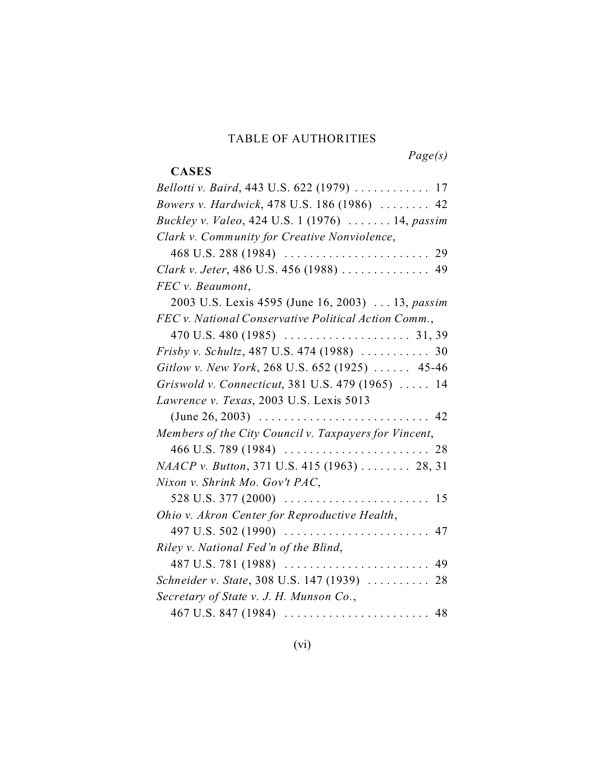#### TABLE OF AUTHORITIES

**CASES** 

*Page(s)* 

# *Bellotti v. Baird*, 443 U.S. 622 (1979) ............ 17 *Bowers v. Hardwick*, 478 U.S. 186 (1986) ........ 42 *Buckley v. Valeo*, 424 U.S. 1 (1976) ....... 14, *passim Clark v. Community for Creative Nonviolence*, 468 U.S. 288 (1984) ....................... 29 *Clark v. Jeter*, 486 U.S. 456 (1988) .............. 49 *FEC v. Beaumont*, 2003 U.S. Lexis 4595 (June 16, 2003) ... 13, *passim FEC v. National Conservative Political Action Comm.*, 470 U.S. 480 (1985) .................... 31, 39 *Frisby v. Schultz*, 487 U.S. 474 (1988) ........... 30 *Gitlow v. New York*, 268 U.S. 652 (1925) ...... 45-46 *Griswold v. Connecticut*, 381 U.S. 479 (1965) ..... 14 *Lawrence v. Texas*, 2003 U.S. Lexis 5013 (June 26, 2003) ........................... 42 *Members of the City Council v. Taxpayers for Vincent*, 466 U.S. 789 (1984) ....................... 28 *NAACP v. Button*, 371 U.S. 415 (1963) ........ 28, 31 *Nixon v. Shrink Mo. Gov't PAC*, 528 U.S. 377 (2000)  $\ldots \ldots \ldots \ldots \ldots \ldots \ldots \ldots \ldots$  15 *Ohio v. Akron Center for Reproductive Health*, 497 U.S. 502 (1990) ....................... 47 *Riley v. National Fed'n of the Blind*, 487 U.S. 781 (1988) ....................... 49 *Schneider v. State*, 308 U.S. 147 (1939) .......... 28 *Secretary of State v. J. H. Munson Co.*, 467 U.S. 847 (1984) ....................... 48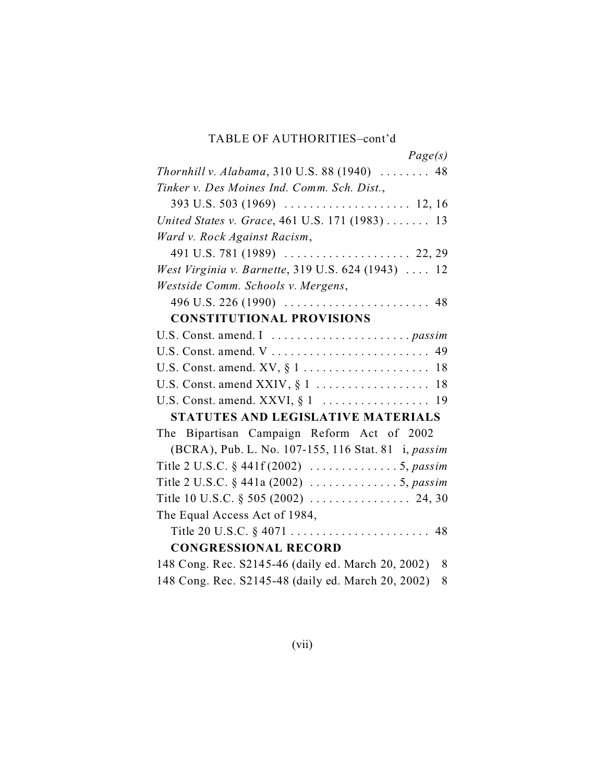### TABLE OF AUTHORITIES–cont'd

| Page(s)                                                               |
|-----------------------------------------------------------------------|
| Thornhill v. Alabama, 310 U.S. 88 (1940)  48                          |
| Tinker v. Des Moines Ind. Comm. Sch. Dist.,                           |
|                                                                       |
| United States v. Grace, 461 U.S. 171 (1983)  13                       |
| Ward v. Rock Against Racism,                                          |
|                                                                       |
| West Virginia v. Barnette, 319 U.S. 624 (1943)  12                    |
| Westside Comm. Schools v. Mergens,                                    |
|                                                                       |
| <b>CONSTITUTIONAL PROVISIONS</b>                                      |
|                                                                       |
|                                                                       |
|                                                                       |
|                                                                       |
|                                                                       |
| STATUTES AND LEGISLATIVE MATERIALS                                    |
| The Bipartisan Campaign Reform Act of 2002                            |
| (BCRA), Pub. L. No. 107-155, 116 Stat. 81 i, passim                   |
| Title 2 U.S.C. § 441f (2002) $\ldots \ldots \ldots \ldots 5$ , passim |
| Title 2 U.S.C. § 441a (2002) 5, passim                                |
|                                                                       |
| The Equal Access Act of 1984,                                         |
|                                                                       |
| <b>CONGRESSIONAL RECORD</b>                                           |
| 148 Cong. Rec. S2145-46 (daily ed. March 20, 2002)<br>8               |
| 148 Cong. Rec. S2145-48 (daily ed. March 20, 2002)<br>8               |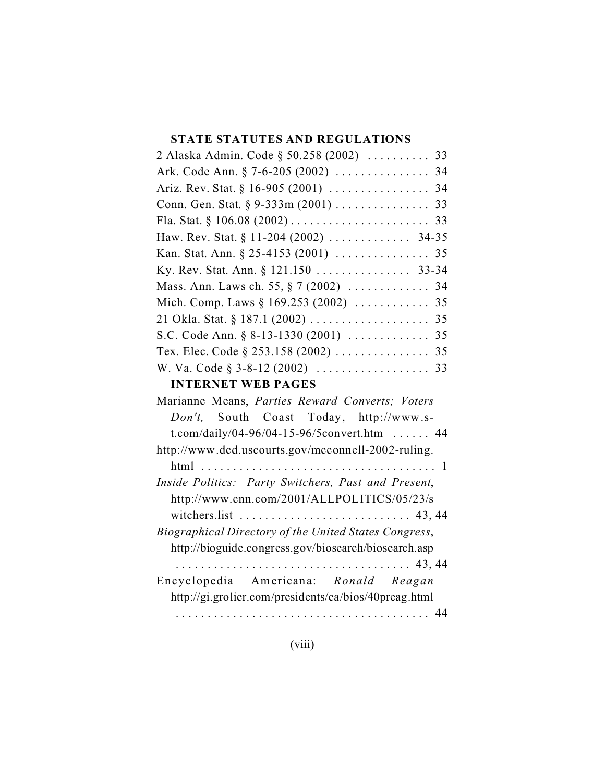### **STATE STATUTES AND REGULATIONS**

| 2 Alaska Admin. Code § 50.258 (2002)  33                                       |  |  |
|--------------------------------------------------------------------------------|--|--|
|                                                                                |  |  |
|                                                                                |  |  |
| Conn. Gen. Stat. § 9-333m (2001) 33                                            |  |  |
|                                                                                |  |  |
|                                                                                |  |  |
|                                                                                |  |  |
| Ky. Rev. Stat. Ann. § 121.150 33-34                                            |  |  |
| Mass. Ann. Laws ch. 55, § 7 (2002)  34                                         |  |  |
|                                                                                |  |  |
|                                                                                |  |  |
|                                                                                |  |  |
| Tex. Elec. Code § 253.158 (2002) 35                                            |  |  |
|                                                                                |  |  |
| <b>INTERNET WEB PAGES</b>                                                      |  |  |
| Marianne Means, Parties Reward Converts; Voters                                |  |  |
| Don't, South Coast Today, http://www.s-                                        |  |  |
| t.com/daily/04-96/04-15-96/5 convert.htm  44                                   |  |  |
| http://www.dcd.uscourts.gov/mcconnell-2002-ruling.                             |  |  |
|                                                                                |  |  |
| Inside Politics: Party Switchers, Past and Present,                            |  |  |
| http://www.cnn.com/2001/ALLPOLITICS/05/23/s                                    |  |  |
| witchers.list $\ldots \ldots \ldots \ldots \ldots \ldots \ldots \ldots$ 43, 44 |  |  |
| Biographical Directory of the United States Congress,                          |  |  |
| http://bioguide.congress.gov/biosearch/biosearch.asp                           |  |  |

..................................... 43, 44 Encyclopedia American a: *Ronald Reagan*  http://gi.grolier.com/presidents/ea/bios/40preag.html ........................................ 44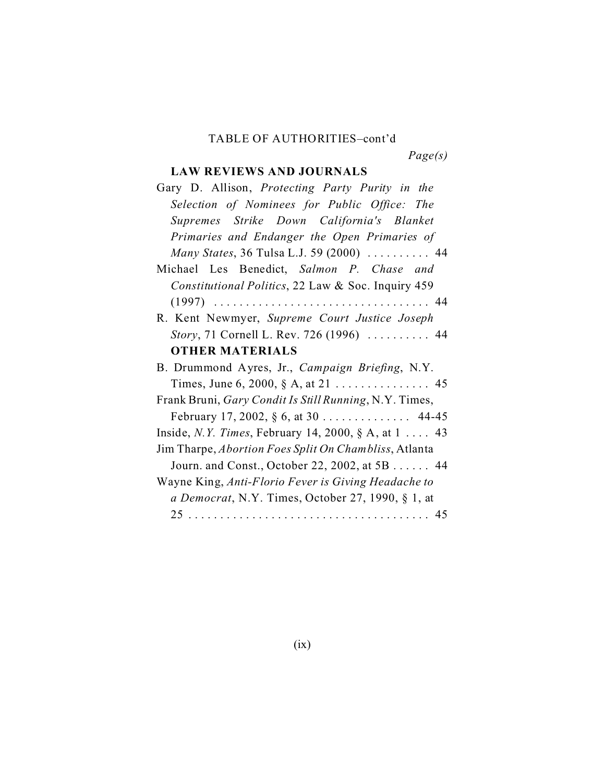### TABLE OF AUTHORITIES–cont'd

*Page(s)* 

# **LAW REVIEWS AND JOURNALS**

| Gary D. Allison, Protecting Party Purity in the               |
|---------------------------------------------------------------|
| Selection of Nominees for Public Office: The                  |
| Supremes Strike Down California's Blanket                     |
| Primaries and Endanger the Open Primaries of                  |
| Many States, 36 Tulsa L.J. 59 (2000)  44                      |
| Michael Les Benedict, Salmon P. Chase and                     |
| Constitutional Politics, 22 Law & Soc. Inquiry 459            |
|                                                               |
| R. Kent Newmyer, Supreme Court Justice Joseph                 |
| Story, 71 Cornell L. Rev. 726 (1996)  44                      |
| <b>OTHER MATERIALS</b>                                        |
| B. Drummond Ayres, Jr., Campaign Briefing, N.Y.               |
| Times, June 6, 2000, § A, at 21 45                            |
| Frank Bruni, Gary Condit Is Still Running, N.Y. Times,        |
| February 17, 2002, $\S 6$ , at 30 44-45                       |
| Inside, <i>N.Y. Times</i> , February 14, 2000, § A, at $1$ 43 |
| Jim Tharpe, Abortion Foes Split On Chambliss, Atlanta         |
| Journ. and Const., October 22, 2002, at 5B 44                 |
| Wayne King, Anti-Florio Fever is Giving Headache to           |
| a Democrat, N.Y. Times, October 27, 1990, § 1, at             |
|                                                               |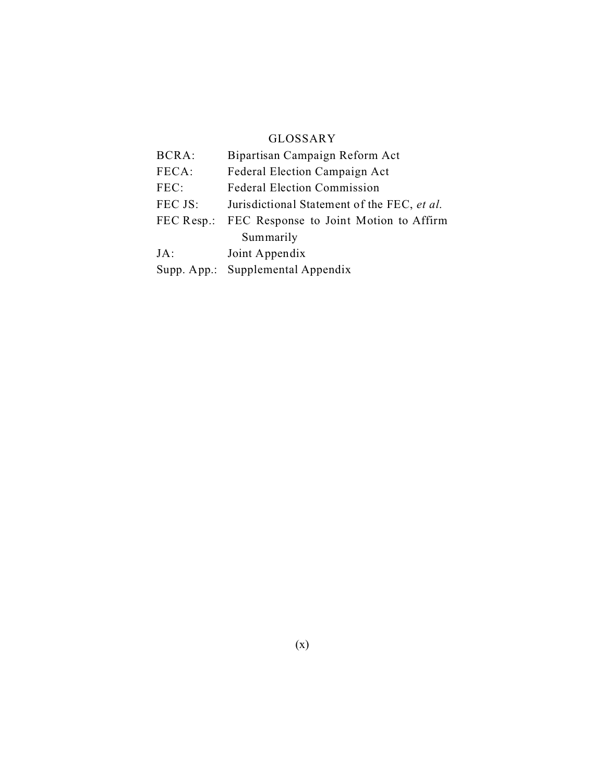#### GLOSSARY

| <b>BCRA:</b> | Bipartisan Campaign Reform Act              |
|--------------|---------------------------------------------|
| FECA:        | Federal Election Campaign Act               |
| FEC:         | <b>Federal Election Commission</b>          |
| FEC JS:      | Jurisdictional Statement of the FEC, et al. |
| FEC Resp.:   | FEC Response to Joint Motion to Affirm      |
|              | Summarily                                   |
| $JA$ :       | Joint Appendix                              |
| Supp. App.:  | Supplemental Appendix                       |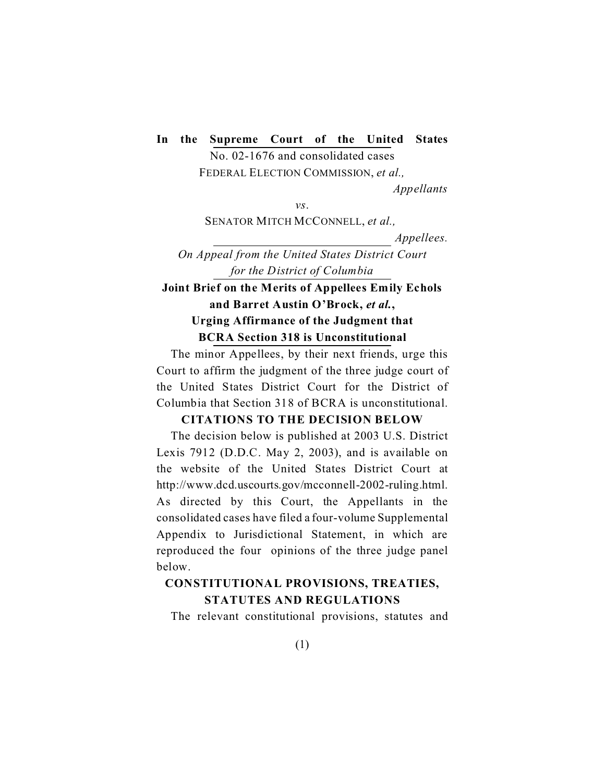### **In the Supreme Court of the United States**

No. 02-1676 and consolidated cases FEDERAL ELECTION COMMISSION, *et al., Appellants* 

*vs*.

SENATOR MITCH MCCONNELL, *et al.,* 

*Appellees.* 

*On Appeal from the United States District Court for the District of Columbia* 

## **Joint Brief on the Merits of Appellees Emily Echols and Barret Austin O'Brock,** *et al.***, Urging Affirmance of the Judgment that BCRA Section 318 is Unconstitutional**

The minor Appellees, by their next friends, urge this Court to affirm the judgment of the three judge court of the United States District Court for the District of Columbia that Section 318 of BCRA is unconstitutional.

#### **CITATIONS TO THE DECISION BELOW**

The decision below is published at 2003 U.S. District Lexis 7912 (D.D.C. May 2, 2003), and is available on the website of the United States District Court at http://www.dcd.uscourts.gov/mcconnell-2002-ruling.html. As directed by this Court, the Appellants in the consolidated cases have filed a four-volume Supplemental Appendix to Jurisdictional Statement, in which are reproduced the four opinions of the three judge panel below.

## **CONSTITUTIONAL PROVISIONS, TREATIES, STATUTES AND REGULATIONS**

The relevant constitutional provisions, statutes and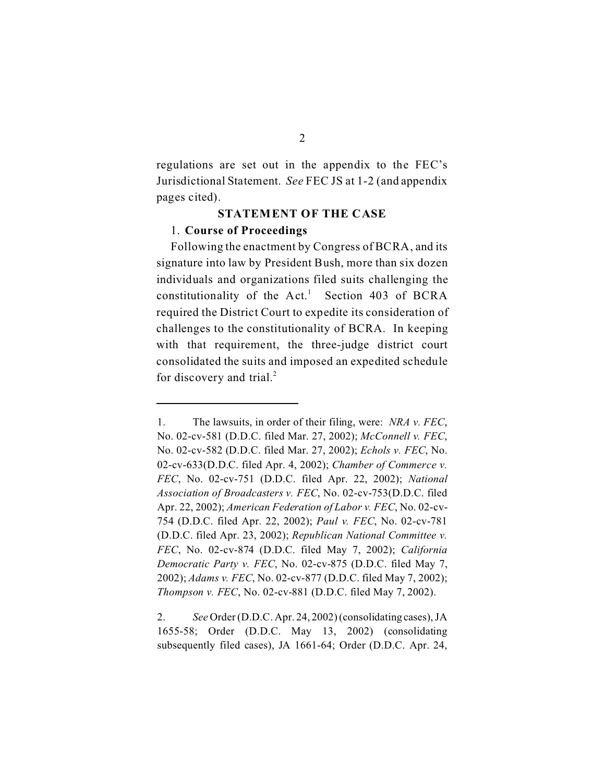regulations are set out in the appendix to the FEC's Jurisdictional Statement. *See* FEC JS at 1-2 (and appendix pages cited).

#### **STATEMENT OF THE CASE**

#### 1. **Course of Proceedings**

Following the enactment by Congress of BCRA, and its signature into law by President Bush, more than six dozen individuals and organizations filed suits challenging the constitutionality of the  $Act<sup>1</sup>$  Section 403 of BCRA required the District Court to expedite its consideration of challenges to the constitutionality of BCRA. In keeping with that requirement, the three-judge district court consolidated the suits and imposed an expedited schedule for discovery and trial. $^{2}$ 

<sup>1.</sup> The lawsuits, in order of their filing, were: *NRA v. FEC*, No. 02-cv-581 (D.D.C. filed Mar. 27, 2002); *McConnell v. FEC*, No. 02-cv-582 (D.D.C. filed Mar. 27, 2002); *Echols v. FEC*, No. 02-cv-633(D.D.C. filed Apr. 4, 2002); *Chamber of Commerce v. FEC*, No. 02-cv-751 (D.D.C. filed Apr. 22, 2002); *National Association of Broadcasters v. FEC*, No. 02-cv-753(D.D.C. filed Apr. 22, 2002); *American Federation of Labor v. FEC*, No. 02-cv-754 (D.D.C. filed Apr. 22, 2002); *Paul v. FEC*, No. 02-cv-781 (D.D.C. filed Apr. 23, 2002); *Republican National Committee v. FEC*, No. 02-cv-874 (D.D.C. filed May 7, 2002); *California Democratic Party v. FEC*, No. 02-cv-875 (D.D.C. filed May 7, 2002); *Adams v. FEC*, No. 02-cv-877 (D.D.C. filed May 7, 2002); *Thompson v. FEC*, No. 02-cv-881 (D.D.C. filed May 7, 2002).

<sup>2.</sup> *See* Order (D.D.C. Apr. 24, 2002)(consolidating cases), JA 1655-58; Order (D.D.C. May 13, 2002) (consolidating subsequently filed cases), JA 1661-64; Order (D.D.C. Apr. 24,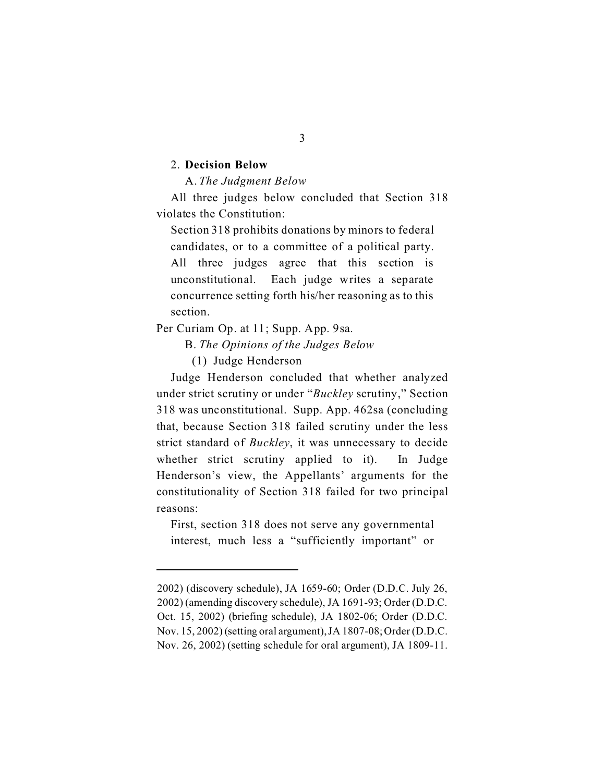#### 2. **Decision Below**

A. *The Judgment Below* 

All three judges below concluded that Section 318 violates the Constitution:

Section 318 prohibits donations by minors to federal candidates, or to a committee of a political party. All three judges agree that this section is unconstitutional. Each judge writes a separate concurrence setting forth his/her reasoning as to this section.

Per Curiam Op. at 11; Supp. App. 9sa.

B. *The Opinions of the Judges Below* 

(1) Judge Henderson

Judge Henderson concluded that whether analyzed under strict scrutiny or under "*Buckley* scrutiny," Section 318 was unconstitutional. Supp. App. 462sa (concluding that, because Section 318 failed scrutiny under the less strict standard of *Buckley*, it was unnecessary to decide whether strict scrutiny applied to it). In Judge Henderson's view, the Appellants' arguments for the constitutionality of Section 318 failed for two principal reasons:

First, section 318 does not serve any governmental interest, much less a "sufficiently important" or

3

<sup>2002) (</sup>discovery schedule), JA 1659-60; Order (D.D.C. July 26, 2002) (amending discovery schedule), JA 1691-93; Order (D.D.C. Oct. 15, 2002) (briefing schedule), JA 1802-06; Order (D.D.C. Nov. 15, 2002) (setting oral argument), JA 1807-08; Order (D.D.C. Nov. 26, 2002) (setting schedule for oral argument), JA 1809-11.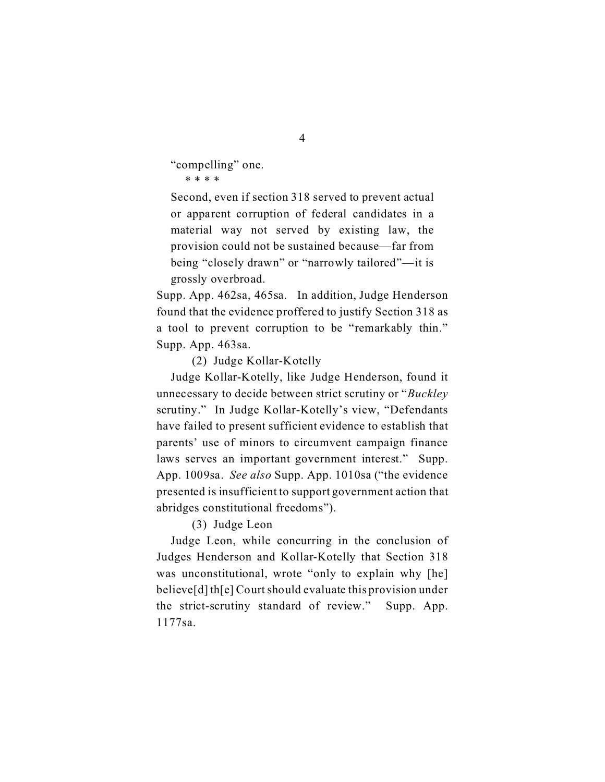"compelling" one.

\* \* \* \*

Second, even if section 318 served to prevent actual or apparent corruption of federal candidates in a material way not served by existing law, the provision could not be sustained because—far from being "closely drawn" or "narrowly tailored"—it is grossly overbroad.

Supp. App. 462sa, 465sa. In addition, Judge Henderson found that the evidence proffered to justify Section 318 as a tool to prevent corruption to be "remarkably thin." Supp. App. 463sa.

(2) Judge Kollar-Kotelly

Judge Kollar-Kotelly, like Judge Henderson, found it unnecessary to decide between strict scrutiny or "*Buckley*  scrutiny." In Judge Kollar-Kotelly's view, "Defendants have failed to present sufficient evidence to establish that parents' use of minors to circumvent campaign finance laws serves an important government interest." Supp. App. 1009sa. *See also* Supp. App. 1010sa ("the evidence presented is insufficient to support government action that abridges constitutional freedoms").

(3) Judge Leon

Judge Leon, while concurring in the conclusion of Judges Henderson and Kollar-Kotelly that Section 318 was unconstitutional, wrote "only to explain why [he] believe[d] th[e] Court should evaluate this provision under the strict-scrutiny standard of review." Supp. App. 1177sa.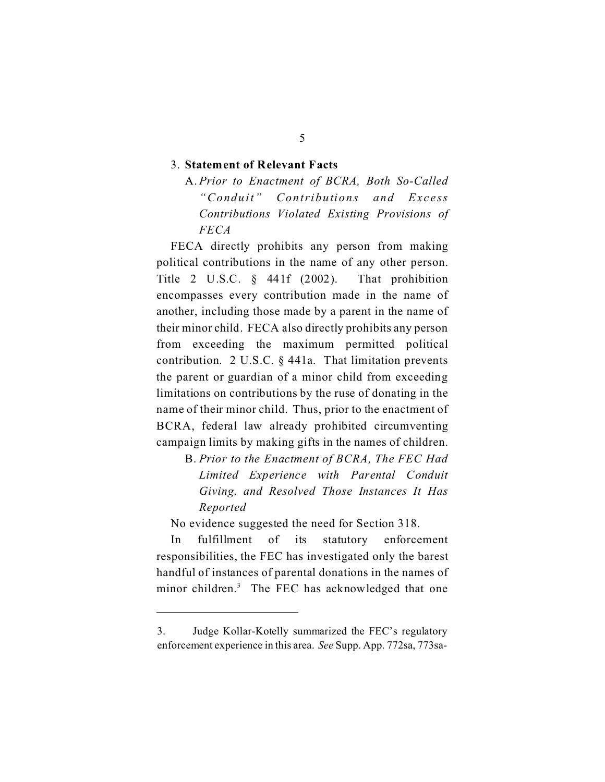#### 3. **Statement of Relevant Facts**

A. *Prior to Enactment of BCRA, Both So-Called "Condu it" Contributions and Excess Contributions Violated Existing Provisions of FECA* 

FECA directly prohibits any person from making political contributions in the name of any other person. Title 2 U.S.C. § 441f (2002). That prohibition encompasses every contribution made in the name of another, including those made by a parent in the name of their minor child. FECA also directly prohibits any person from exceeding the maximum permitted political contribution. 2 U.S.C. § 441a. That limitation prevents the parent or guardian of a minor child from exceeding limitations on contributions by the ruse of donating in the name of their minor child. Thus, prior to the enactment of BCRA, federal law already prohibited circumventing campaign limits by making gifts in the names of children.

B. *Prior to the Enactment of BCRA, The FEC Had Limited Experience with Parental Conduit Giving, and Resolved Those Instances It Has Reported* 

No evidence suggested the need for Section 318.

In fulfillment of its statutory enforcement responsibilities, the FEC has investigated only the barest handful of instances of parental donations in the names of minor children.<sup>3</sup> The FEC has acknowledged that one

<sup>3.</sup> Judge Kollar-Kotelly summarized the FEC's regulatory enforcement experience in this area. *See* Supp. App. 772sa, 773sa-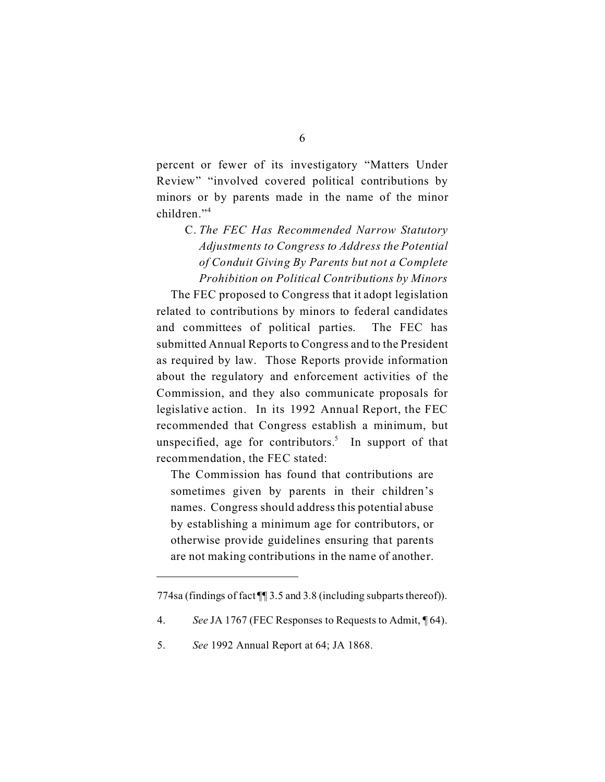percent or fewer of its investigatory "Matters Under Review" "involved covered political contributions by minors or by parents made in the name of the minor children."<sup>4</sup>

C. *The FEC Has Recommended Narrow Statutory Adjustments to Congress to Address the Potential of Conduit Giving By Parents but not a Complete Prohibition on Political Contributions by Minors* 

The FEC proposed to Congress that it adopt legislation related to contributions by minors to federal candidates and committees of political parties. The FEC has submitted Annual Reports to Congress and to the President as required by law. Those Reports provide information about the regulatory and enforcement activities of the Commission, and they also communicate proposals for legislative action. In its 1992 Annual Report, the FEC recommended that Congress establish a minimum, but unspecified, age for contributors.<sup>5</sup> In support of that recommendation, the FEC stated:

The Commission has found that contributions are sometimes given by parents in their children's names. Congress should address this potential abuse by establishing a minimum age for contributors, or otherwise provide guidelines ensuring that parents are not making contributions in the name of another.

<sup>774</sup>sa (findings of fact ¶¶ 3.5 and 3.8 (including subparts thereof)).

<sup>4.</sup> *See* JA 1767 (FEC Responses to Requests to Admit, ¶ 64).

<sup>5.</sup> *See* 1992 Annual Report at 64; JA 1868.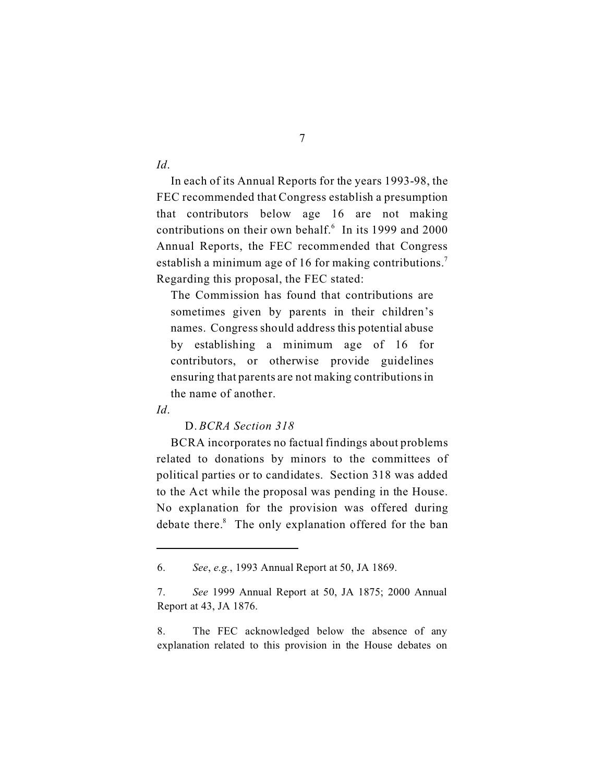7

*Id*.

In each of its Annual Reports for the years 1993-98, the FEC recommended that Congress establish a presumption that contributors below age 16 are not making contributions on their own behalf.<sup>6</sup> In its 1999 and 2000 Annual Reports, the FEC recommended that Congress establish a minimum age of 16 for making contributions.<sup>7</sup> Regarding this proposal, the FEC stated:

The Commission has found that contributions are sometimes given by parents in their children's names. Congress should address this potential abuse by establishing a minimum age of 16 for contributors, or otherwise provide guidelines ensuring that parents are not making contributions in the name of another.

*Id*.

#### D. *BCRA Section 318*

BCRA incorporates no factual findings about problems related to donations by minors to the committees of political parties or to candidates. Section 318 was added to the Act while the proposal was pending in the House. No explanation for the provision was offered during debate there.<sup>8</sup> The only explanation offered for the ban

<sup>6.</sup> *See*, *e.g.*, 1993 Annual Report at 50, JA 1869.

<sup>7.</sup> *See* 1999 Annual Report at 50, JA 1875; 2000 Annual Report at 43, JA 1876.

<sup>8.</sup> The FEC acknowledged below the absence of any explanation related to this provision in the House debates on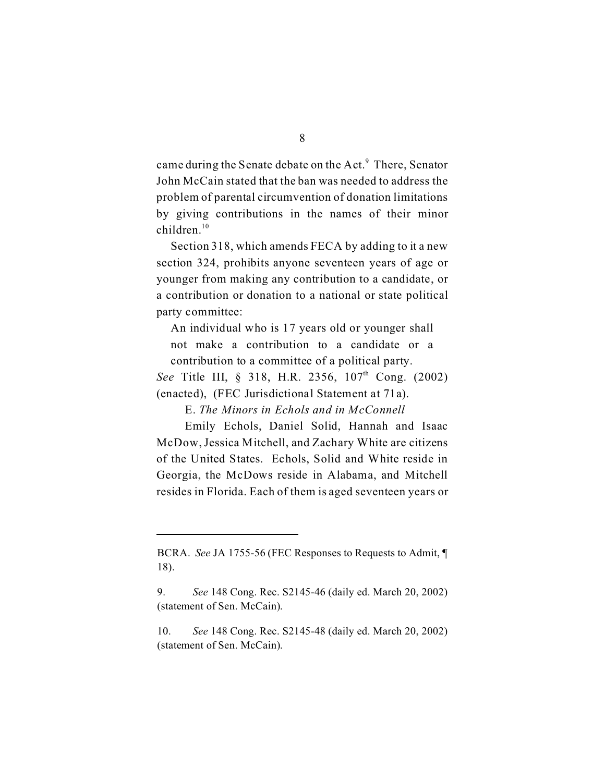came during the Senate debate on the Act.<sup>9</sup> There, Senator John McCain stated that the ban was needed to address the problem of parental circumvention of donation limitations by giving contributions in the names of their minor  $children.<sup>10</sup>$ 

Section 318, which amends FECA by adding to it a new section 324, prohibits anyone seventeen years of age or younger from making any contribution to a candidate, or a contribution or donation to a national or state political party committee:

An individual who is 17 years old or younger shall not make a contribution to a candidate or a contribution to a committee of a political party.

See Title III, § 318, H.R. 2356, 107<sup>th</sup> Cong. (2002) (enacted), (FEC Jurisdictional Statement at 71a).

E. *The Minors in Echols and in McConnell* 

Emily Echols, Daniel Solid, Hannah and Isaac McDow, Jessica Mitchell, and Zachary White are citizens of the United States. Echols, Solid and White reside in Georgia, the McDows reside in Alabama, and Mitchell resides in Florida. Each of them is aged seventeen years or

BCRA. *See* JA 1755-56 (FEC Responses to Requests to Admit, ¶ 18).

<sup>9.</sup> *See* 148 Cong. Rec. S2145-46 (daily ed. March 20, 2002) (statement of Sen. McCain).

<sup>10.</sup> *See* 148 Cong. Rec. S2145-48 (daily ed. March 20, 2002) (statement of Sen. McCain).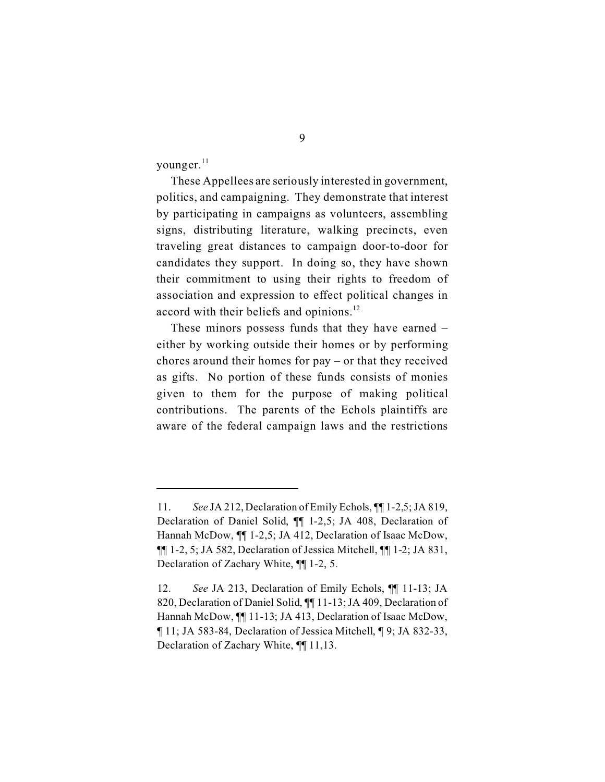younger.<sup>11</sup>

These Appellees are seriously interested in government, politics, and campaigning. They demonstrate that interest by participating in campaigns as volunteers, assembling signs, distributing literature, walking precincts, even traveling great distances to campaign door-to-door for candidates they support. In doing so, they have shown their commitment to using their rights to freedom of association and expression to effect political changes in accord with their beliefs and opinions. $^{12}$ 

These minors possess funds that they have earned – either by working outside their homes or by performing chores around their homes for pay – or that they received as gifts. No portion of these funds consists of monies given to them for the purpose of making political contributions. The parents of the Echols plaintiffs are aware of the federal campaign laws and the restrictions

<sup>11.</sup> *See* JA 212, Declaration of Emily Echols, ¶¶ 1-2,5; JA 819, Declaration of Daniel Solid, ¶¶ 1-2,5; JA 408, Declaration of Hannah McDow, ¶¶ 1-2,5; JA 412, Declaration of Isaac McDow, ¶¶ 1-2, 5; JA 582, Declaration of Jessica Mitchell, ¶¶ 1-2; JA 831, Declaration of Zachary White, ¶¶ 1-2, 5.

<sup>12.</sup> *See* JA 213, Declaration of Emily Echols, ¶¶ 11-13; JA 820, Declaration of Daniel Solid, ¶¶ 11-13; JA 409, Declaration of Hannah McDow, ¶¶ 11-13; JA 413, Declaration of Isaac McDow, ¶ 11; JA 583-84, Declaration of Jessica Mitchell, ¶ 9; JA 832-33, Declaration of Zachary White, ¶¶ 11,13.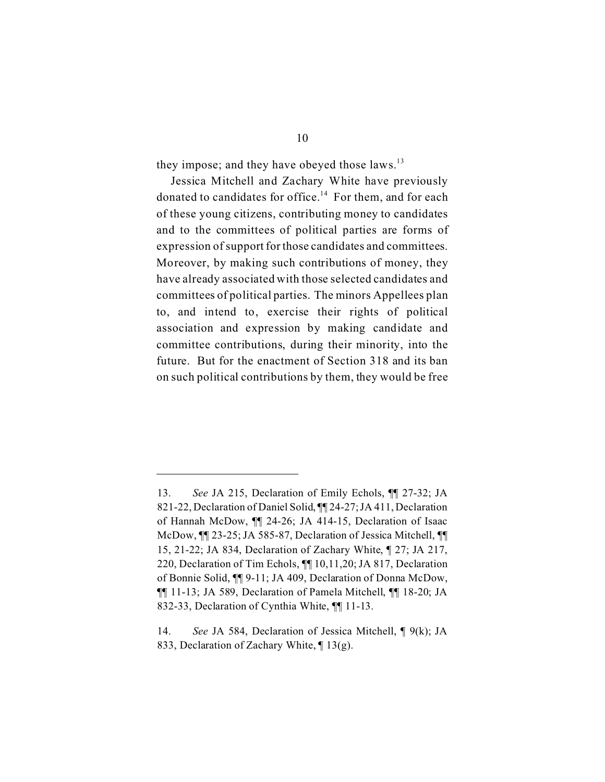they impose; and they have obeyed those laws.<sup>13</sup>

Jessica Mitchell and Zachary White have previously donated to candidates for office.<sup>14</sup> For them, and for each of these young citizens, contributing money to candidates and to the committees of political parties are forms of expression of support for those candidates and committees. Moreover, by making such contributions of money, they have already associated with those selected candidates and committees of political parties. The minors Appellees plan to, and intend to, exercise their rights of political association and expression by making candidate and committee contributions, during their minority, into the future. But for the enactment of Section 318 and its ban on such political contributions by them, they would be free

<sup>13.</sup> *See* JA 215, Declaration of Emily Echols, ¶¶ 27-32; JA 821-22, Declaration of Daniel Solid, ¶¶ 24-27; JA 411, Declaration of Hannah McDow, ¶¶ 24-26; JA 414-15, Declaration of Isaac McDow, ¶¶ 23-25; JA 585-87, Declaration of Jessica Mitchell, ¶¶ 15, 21-22; JA 834, Declaration of Zachary White, ¶ 27; JA 217, 220, Declaration of Tim Echols, ¶¶ 10,11,20; JA 817, Declaration of Bonnie Solid, ¶¶ 9-11; JA 409, Declaration of Donna McDow, ¶¶ 11-13; JA 589, Declaration of Pamela Mitchell, ¶¶ 18-20; JA 832-33, Declaration of Cynthia White, ¶¶ 11-13.

<sup>14.</sup> *See* JA 584, Declaration of Jessica Mitchell, ¶ 9(k); JA 833, Declaration of Zachary White, ¶ 13(g).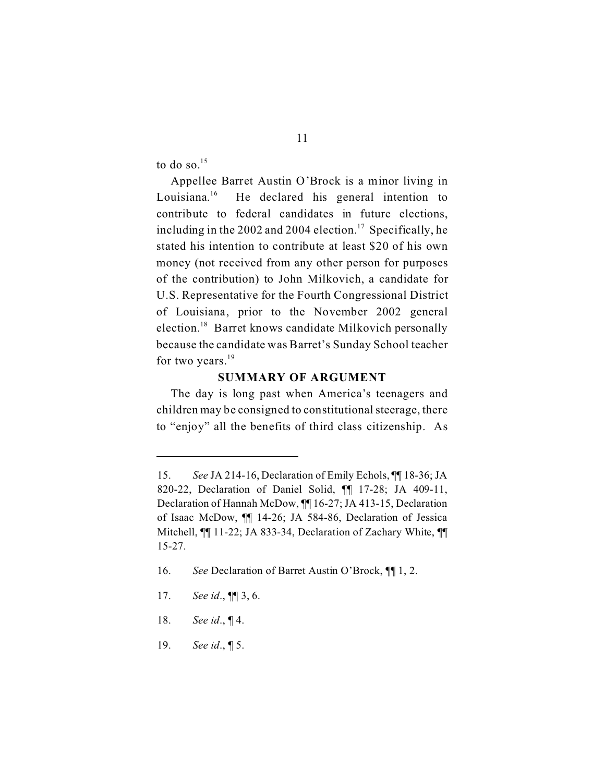to do so. $15$ 

Appellee Barret Austin O'Brock is a minor living in Louisiana.<sup>16</sup> 16 He declared his general intention to contribute to federal candidates in future elections, including in the 2002 and 2004 election.<sup>17</sup> Specifically, he stated his intention to contribute at least \$20 of his own money (not received from any other person for purposes of the contribution) to John Milkovich, a candidate for U.S. Representative for the Fourth Congressional District of Louisiana, prior to the November 2002 general election.18 Barret knows candidate Milkovich personally because the candidate was Barret's Sunday School teacher for two years. $19$ 

#### **SUMMARY OF ARGUMENT**

The day is long past when America's teenagers and children may be consigned to constitutional steerage, there to "enjoy" all the benefits of third class citizenship. As

- 18. *See id*., ¶ 4.
- 19. *See id*., ¶ 5.

<sup>15.</sup> *See* JA 214-16, Declaration of Emily Echols, ¶¶ 18-36; JA 820-22, Declaration of Daniel Solid, ¶¶ 17-28; JA 409-11, Declaration of Hannah McDow, ¶¶ 16-27; JA 413-15, Declaration of Isaac McDow, ¶¶ 14-26; JA 584-86, Declaration of Jessica Mitchell, ¶¶ 11-22; JA 833-34, Declaration of Zachary White, ¶¶ 15-27.

<sup>16.</sup> *See* Declaration of Barret Austin O'Brock, ¶¶ 1, 2.

<sup>17.</sup> *See id*., ¶¶ 3, 6.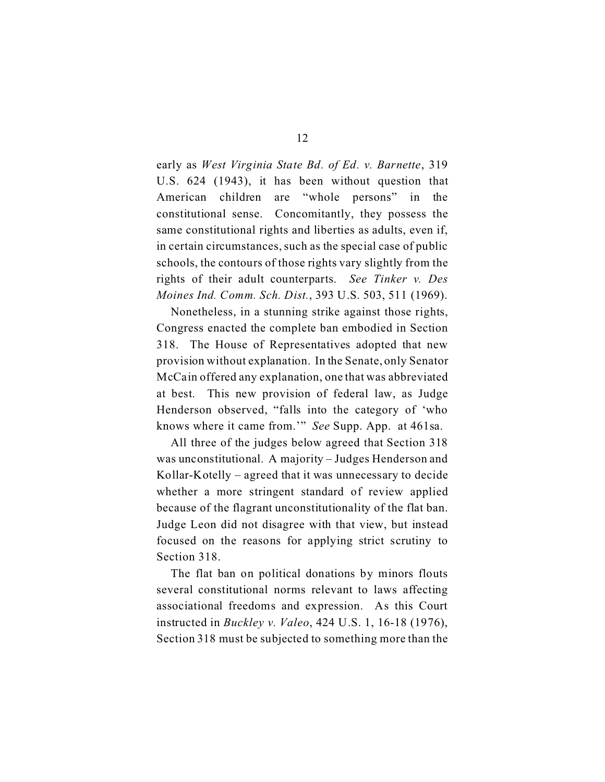early as *West Virginia State Bd. of Ed. v. Barnette*, 319 U.S. 624 (1943), it has been without question that American children are "whole persons" in the constitutional sense. Concomitantly, they possess the same constitutional rights and liberties as adults, even if, in certain circumstances, such as the special case of public schools, the contours of those rights vary slightly from the rights of their adult counterparts. *See Tinker v. Des Moines Ind. Comm. Sch. Dist.*, 393 U.S. 503, 511 (1969).

Nonetheless, in a stunning strike against those rights, Congress enacted the complete ban embodied in Section 318. The House of Representatives adopted that new provision without explanation. In the Senate, only Senator McCain offered any explanation, one that was abbreviated at best. This new provision of federal law, as Judge Henderson observed, "falls into the category of 'who knows where it came from.'" *See* Supp. App. at 461sa.

All three of the judges below agreed that Section 318 was unconstitutional. A majority – Judges Henderson and Kollar-Kotelly – agreed that it was unnecessary to decide whether a more stringent standard of review applied because of the flagrant unconstitutionality of the flat ban. Judge Leon did not disagree with that view, but instead focused on the reasons for applying strict scrutiny to Section 318.

The flat ban on political donations by minors flouts several constitutional norms relevant to laws affecting associational freedoms and expression. As this Court instructed in *Buckley v. Valeo*, 424 U.S. 1, 16-18 (1976), Section 318 must be subjected to something more than the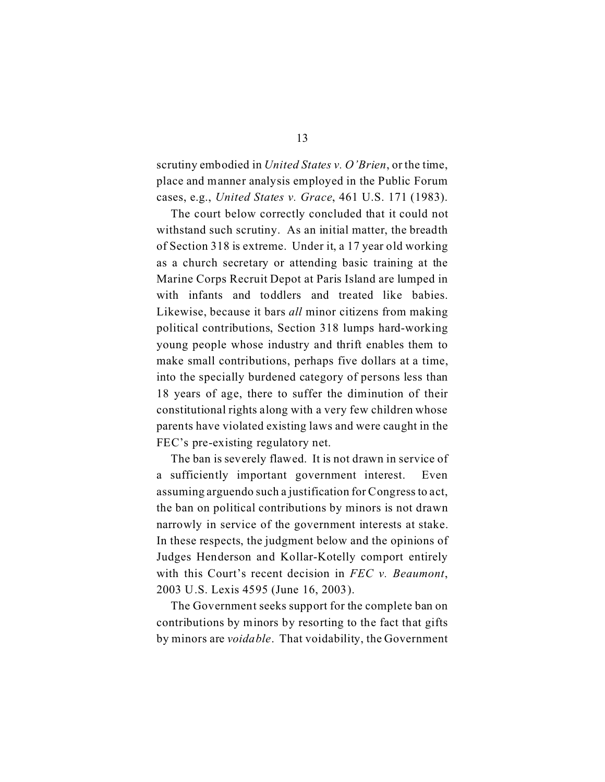scrutiny embodied in *United States v. O'Brien*, or the time, place and manner analysis employed in the Public Forum cases, e.g., *United States v. Grace*, 461 U.S. 171 (1983).

The court below correctly concluded that it could not withstand such scrutiny. As an initial matter, the breadth of Section 318 is extreme. Under it, a 17 year old working as a church secretary or attending basic training at the Marine Corps Recruit Depot at Paris Island are lumped in with infants and toddlers and treated like babies. Likewise, because it bars *all* minor citizens from making political contributions, Section 318 lumps hard-working young people whose industry and thrift enables them to make small contributions, perhaps five dollars at a time, into the specially burdened category of persons less than 18 years of age, there to suffer the diminution of their constitutional rights along with a very few children whose parents have violated existing laws and were caught in the FEC's pre-existing regulatory net.

The ban is severely flawed. It is not drawn in service of a sufficiently important government interest. Even assuming arguendo such a justification for Congress to act, the ban on political contributions by minors is not drawn narrowly in service of the government interests at stake. In these respects, the judgment below and the opinions of Judges Henderson and Kollar-Kotelly comport entirely with this Court's recent decision in *FEC v. Beaumont*, 2003 U.S. Lexis 4595 (June 16, 2003).

The Government seeks support for the complete ban on contributions by minors by resorting to the fact that gifts by minors are *voidable*. That voidability, the Government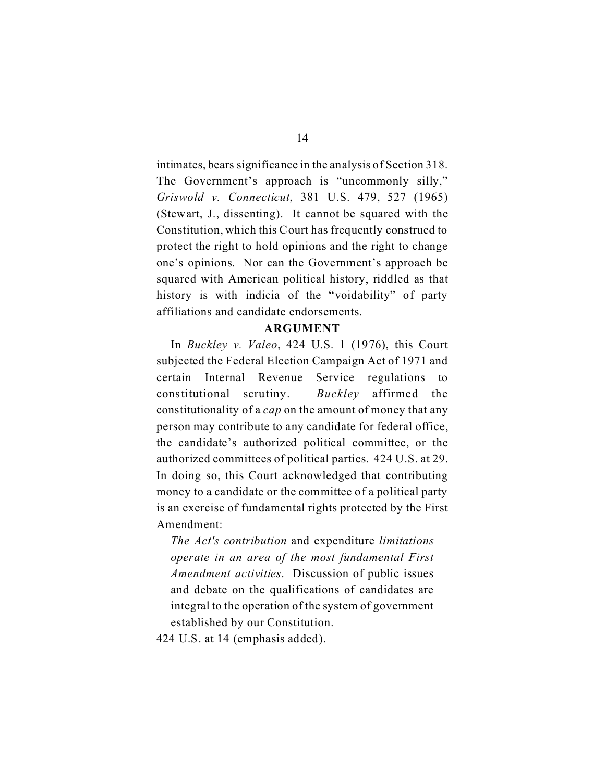intimates, bears significance in the analysis of Section 318. The Government's approach is "uncommonly silly," *Griswold v. Connecticut*, 381 U.S. 479, 527 (1965) (Stewart, J., dissenting). It cannot be squared with the Constitution, which this Court has frequently construed to protect the right to hold opinions and the right to change one's opinions. Nor can the Government's approach be squared with American political history, riddled as that history is with indicia of the "voidability" of party affiliations and candidate endorsements.

### **ARGUMENT**

In *Buckley v. Valeo*, 424 U.S. 1 (1976), this Court subjected the Federal Election Campaign Act of 1971 and certain Internal Revenue Service regulations to constitutional scrutiny. *Buckley* affirmed the constitutionality of a *cap* on the amount of money that any person may contribute to any candidate for federal office, the candidate's authorized political committee, or the authorized committees of political parties. 424 U.S. at 29. In doing so, this Court acknowledged that contributing money to a candidate or the committee of a political party is an exercise of fundamental rights protected by the First Amendment:

*The Act's contribution* and expenditure *limitations operate in an area of the most fundamental First Amendment activities*. Discussion of public issues and debate on the qualifications of candidates are integral to the operation of the system of government established by our Constitution.

424 U.S. at 14 (emphasis added).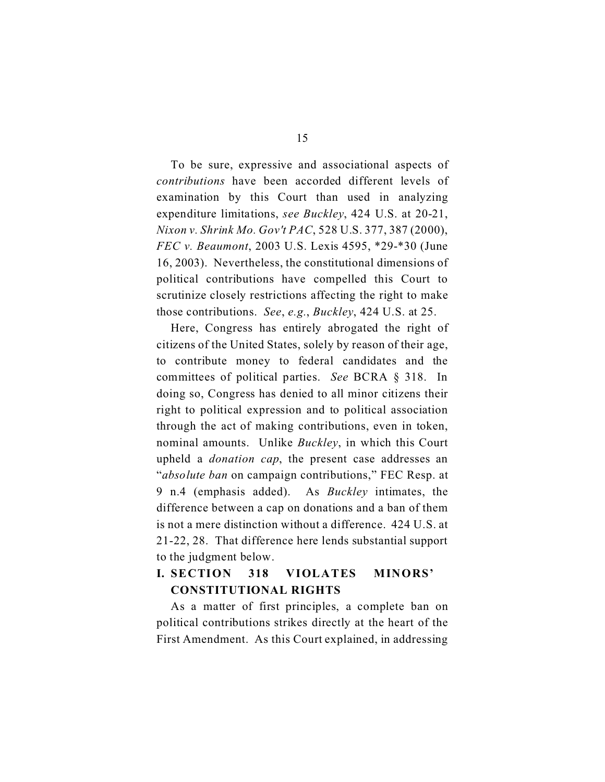To be sure, expressive and associational aspects of *contributions* have been accorded different levels of examination by this Court than used in analyzing expenditure limitations, *see Buckley*, 424 U.S. at 20-21, *Nixon v. Shrink Mo. Gov't PAC*, 528 U.S. 377, 387 (2000), *FEC v. Beaumont*, 2003 U.S. Lexis 4595, \*29-\*30 (June 16, 2003). Nevertheless, the constitutional dimensions of political contributions have compelled this Court to scrutinize closely restrictions affecting the right to make those contributions. *See*, *e.g.*, *Buckley*, 424 U.S. at 25.

Here, Congress has entirely abrogated the right of citizens of the United States, solely by reason of their age, to contribute money to federal candidates and the committees of political parties. *See* BCRA § 318. In doing so, Congress has denied to all minor citizens their right to political expression and to political association through the act of making contributions, even in token, nominal amounts. Unlike *Buckley*, in which this Court upheld a *donation cap*, the present case addresses an "*absolute ban* on campaign contributions," FEC Resp. at 9 n.4 (emphasis added). As *Buckley* intimates, the difference between a cap on donations and a ban of them is not a mere distinction without a difference. 424 U.S. at 21-22, 28. That difference here lends substantial support to the judgment below.

## **I. SECTION 318 VIOLATES MINORS' CONSTITUTIONAL RIGHTS**

As a matter of first principles, a complete ban on political contributions strikes directly at the heart of the First Amendment. As this Court explained, in addressing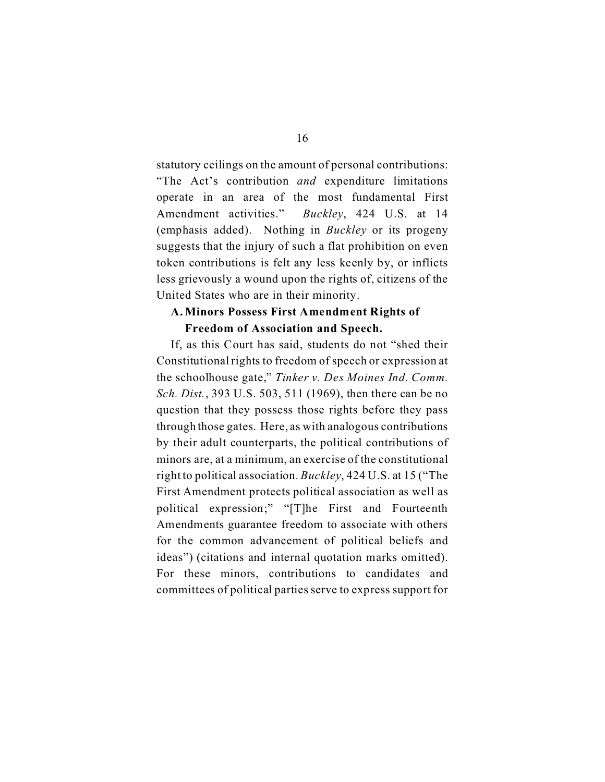statutory ceilings on the amount of personal contributions: "The Act's contribution *and* expenditure limitations operate in an area of the most fundamental First Amendment activities." *Buckley*, 424 U.S. at 14 (emphasis added). Nothing in *Buckley* or its progeny suggests that the injury of such a flat prohibition on even token contributions is felt any less keenly by, or inflicts less grievously a wound upon the rights of, citizens of the United States who are in their minority.

### **A. Minors Possess First Amendment Rights of Freedom of Association and Speech.**

If, as this Court has said, students do not "shed their Constitutional rights to freedom of speech or expression at the schoolhouse gate," *Tinker v. Des Moines Ind. Comm. Sch. Dist.*, 393 U.S. 503, 511 (1969), then there can be no question that they possess those rights before they pass through those gates. Here, as with analogous contributions by their adult counterparts, the political contributions of minors are, at a minimum, an exercise of the constitutional right to political association. *Buckley*, 424 U.S. at 15 ("The First Amendment protects political association as well as political expression;" "[T]he First and Fourteenth Amendments guarantee freedom to associate with others for the common advancement of political beliefs and ideas") (citations and internal quotation marks omitted). For these minors, contributions to candidates and committees of political parties serve to express support for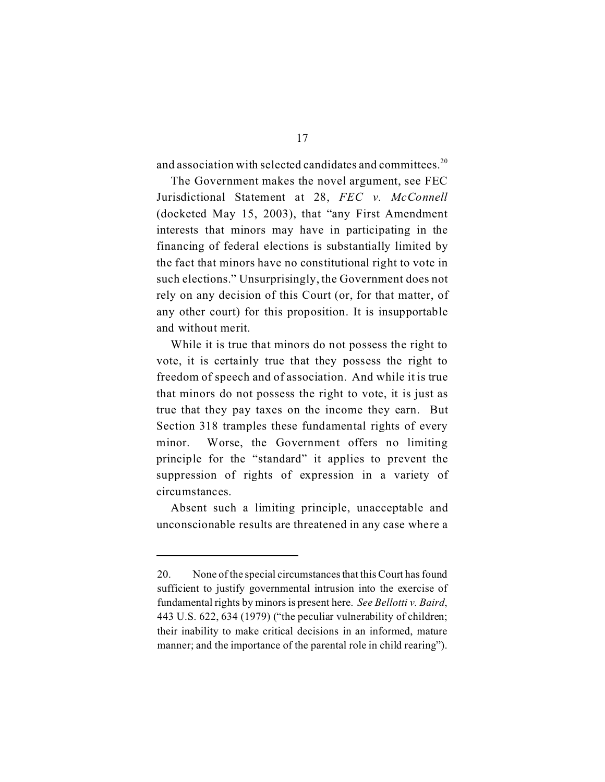and association with selected candidates and committees.<sup>20</sup>

The Government makes the novel argument, see FEC Jurisdictional Statement at 28, *FEC v. McConnell*  (docketed May 15, 2003), that "any First Amendment interests that minors may have in participating in the financing of federal elections is substantially limited by the fact that minors have no constitutional right to vote in such elections." Unsurprisingly, the Government does not rely on any decision of this Court (or, for that matter, of any other court) for this proposition. It is insupportable and without merit.

While it is true that minors do not possess the right to vote, it is certainly true that they possess the right to freedom of speech and of association. And while it is true that minors do not possess the right to vote, it is just as true that they pay taxes on the income they earn. But Section 318 tramples these fundamental rights of every minor. Worse, the Government offers no limiting principle for the "standard" it applies to prevent the suppression of rights of expression in a variety of circumstances.

Absent such a limiting principle, unacceptable and unconscionable results are threatened in any case where a

<sup>20.</sup> None of the special circumstances that this Court has found sufficient to justify governmental intrusion into the exercise of fundamental rights by minors is present here. *See Bellotti v. Baird*, 443 U.S. 622, 634 (1979) ("the peculiar vulnerability of children; their inability to make critical decisions in an informed, mature manner; and the importance of the parental role in child rearing").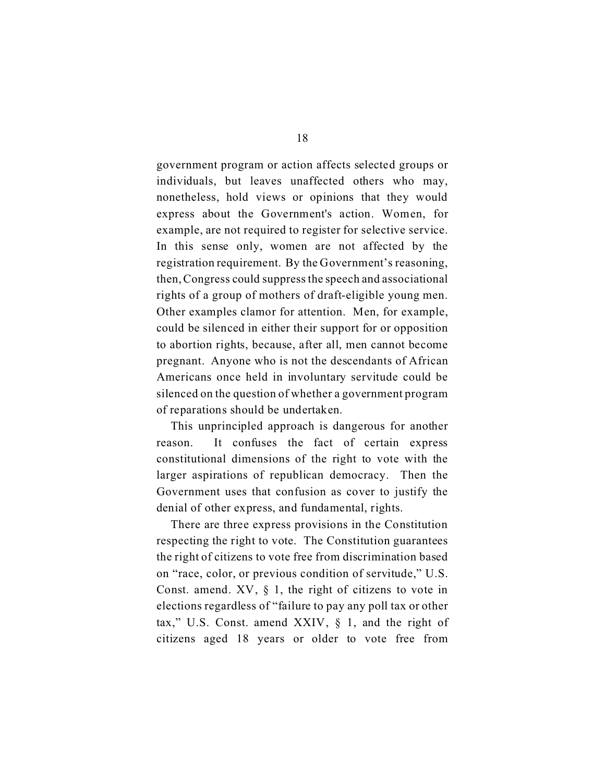government program or action affects selected groups or individuals, but leaves unaffected others who may, nonetheless, hold views or opinions that they would express about the Government's action. Women, for example, are not required to register for selective service. In this sense only, women are not affected by the registration requirement. By the Government's reasoning, then, Congress could suppress the speech and associational rights of a group of mothers of draft-eligible young men. Other examples clamor for attention. Men, for example, could be silenced in either their support for or opposition to abortion rights, because, after all, men cannot become pregnant. Anyone who is not the descendants of African Americans once held in involuntary servitude could be silenced on the question of whether a government program of reparations should be undertaken.

This unprincipled approach is dangerous for another reason. It confuses the fact of certain express constitutional dimensions of the right to vote with the larger aspirations of republican democracy. Then the Government uses that confusion as cover to justify the denial of other express, and fundamental, rights.

There are three express provisions in the Constitution respecting the right to vote. The Constitution guarantees the right of citizens to vote free from discrimination based on "race, color, or previous condition of servitude," U.S. Const. amend.  $XV$ ,  $\S$  1, the right of citizens to vote in elections regardless of "failure to pay any poll tax or other tax," U.S. Const. amend XXIV, § 1, and the right of citizens aged 18 years or older to vote free from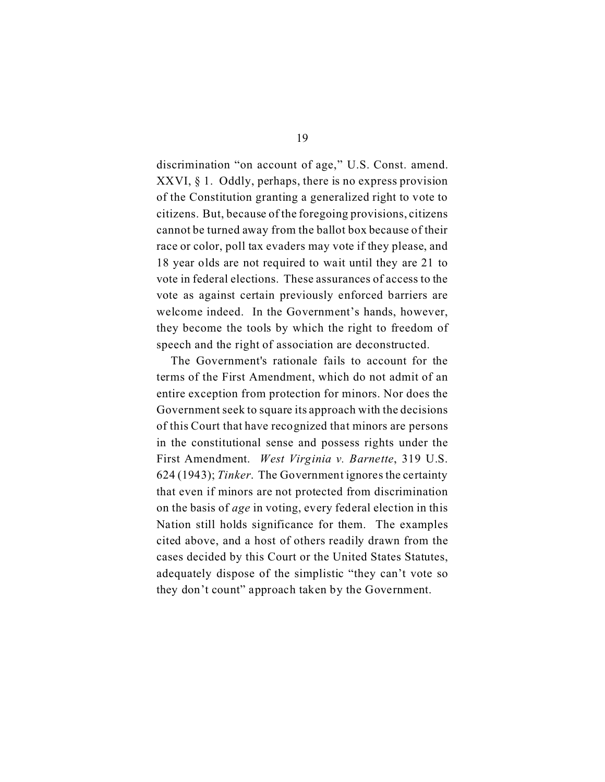discrimination "on account of age," U.S. Const. amend. XXVI, § 1. Oddly, perhaps, there is no express provision of the Constitution granting a generalized right to vote to citizens. But, because of the foregoing provisions, citizens cannot be turned away from the ballot box because of their race or color, poll tax evaders may vote if they please, and 18 year olds are not required to wait until they are 21 to vote in federal elections. These assurances of access to the vote as against certain previously enforced barriers are welcome indeed. In the Government's hands, however, they become the tools by which the right to freedom of speech and the right of association are deconstructed.

The Government's rationale fails to account for the terms of the First Amendment, which do not admit of an entire exception from protection for minors. Nor does the Government seek to square its approach with the decisions of this Court that have recognized that minors are persons in the constitutional sense and possess rights under the First Amendment. *West Virginia v. Barnette*, 319 U.S. 624 (1943); *Tinker*. The Government ignores the certainty that even if minors are not protected from discrimination on the basis of *age* in voting, every federal election in this Nation still holds significance for them. The examples cited above, and a host of others readily drawn from the cases decided by this Court or the United States Statutes, adequately dispose of the simplistic "they can't vote so they don't count" approach taken by the Government.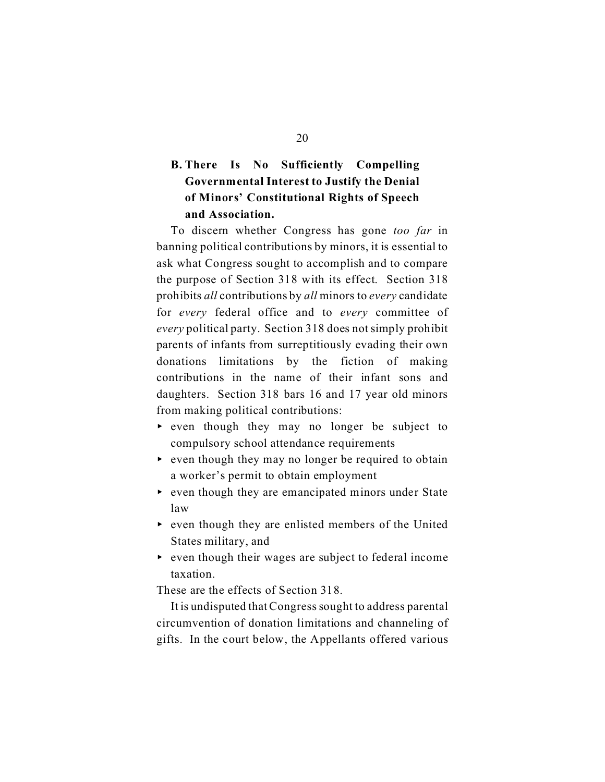## **B. There Is No Sufficiently Compelling Governmental Interest to Justify the Denial of Minors' Constitutional Rights of Speech and Association.**

To discern whether Congress has gone *too far* in banning political contributions by minors, it is essential to ask what Congress sought to accomplish and to compare the purpose of Section 318 with its effect. Section 318 prohibits *all* contributions by *all* minors to *every* candidate for *every* federal office and to *every* committee of *every* political party. Section 318 does not simply prohibit parents of infants from surreptitiously evading their own donations limitations by the fiction of making contributions in the name of their infant sons and daughters. Section 318 bars 16 and 17 year old minors from making political contributions:

- $\rightarrow$  even though they may no longer be subject to compulsory school attendance requirements
- $\rightarrow$  even though they may no longer be required to obtain a worker's permit to obtain employment
- $\triangleright$  even though they are emancipated minors under State law
- $\triangleright$  even though they are enlisted members of the United States military, and
- $\rightarrow$  even though their wages are subject to federal income taxation.

These are the effects of Section 318.

It is undisputed that Congress sought to address parental circumvention of donation limitations and channeling of gifts. In the court below, the Appellants offered various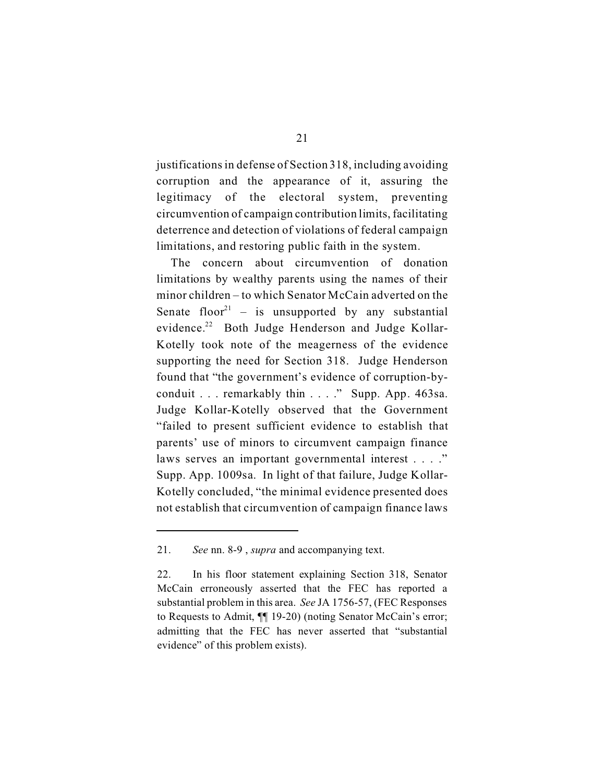justifications in defense of Section 318, including avoiding corruption and the appearance of it, assuring the legitimacy of the electoral system, preventing circumvention of campaign contribution limits, facilitating deterrence and detection of violations of federal campaign limitations, and restoring public faith in the system.

The concern about circumvention of donation limitations by wealthy parents using the names of their minor children – to which Senator McCain adverted on the Senate floor<sup>21</sup> – is unsupported by any substantial evidence.22 Both Judge Henderson and Judge Kollar-Kotelly took note of the meagerness of the evidence supporting the need for Section 318. Judge Henderson found that "the government's evidence of corruption-byconduit . . . remarkably thin . . . ." Supp. App. 463sa. Judge Kollar-Kotelly observed that the Government "failed to present sufficient evidence to establish that parents' use of minors to circumvent campaign finance laws serves an important governmental interest . . . ." Supp. App. 1009sa. In light of that failure, Judge Kollar-Kotelly concluded, "the minimal evidence presented does not establish that circumvention of campaign finance laws

<sup>21.</sup> *See* nn. 8-9 , *supra* and accompanying text.

<sup>22.</sup> In his floor statement explaining Section 318, Senator McCain erroneously asserted that the FEC has reported a substantial problem in this area. *See* JA 1756-57, (FEC Responses to Requests to Admit, ¶¶ 19-20) (noting Senator McCain's error; admitting that the FEC has never asserted that "substantial evidence" of this problem exists).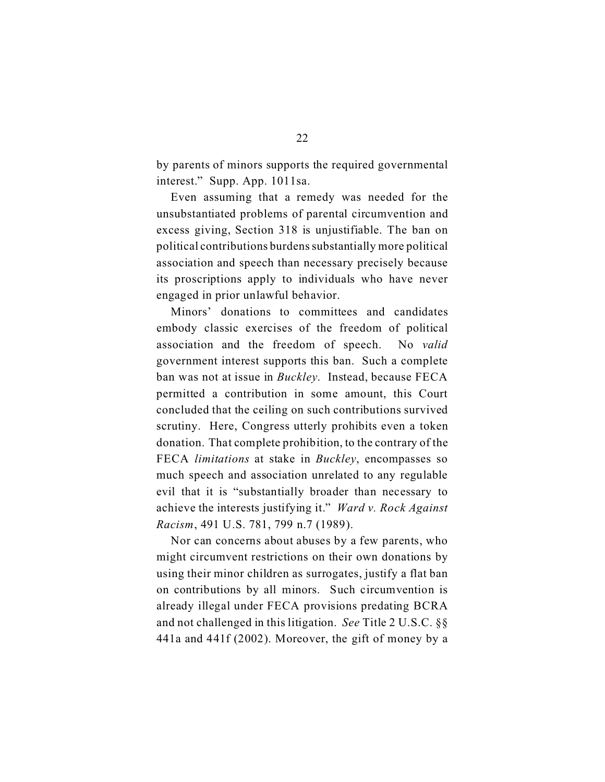by parents of minors supports the required governmental interest." Supp. App. 1011sa.

Even assuming that a remedy was needed for the unsubstantiated problems of parental circumvention and excess giving, Section 318 is unjustifiable. The ban on political contributions burdens substantially more political association and speech than necessary precisely because its proscriptions apply to individuals who have never engaged in prior unlawful behavior.

Minors' donations to committees and candidates embody classic exercises of the freedom of political association and the freedom of speech. No *valid*  government interest supports this ban. Such a complete ban was not at issue in *Buckley*. Instead, because FECA permitted a contribution in some amount, this Court concluded that the ceiling on such contributions survived scrutiny. Here, Congress utterly prohibits even a token donation. That complete prohibition, to the contrary of the FECA *limitations* at stake in *Buckley*, encompasses so much speech and association unrelated to any regulable evil that it is "substantially broader than necessary to achieve the interests justifying it." *Ward v. Rock Against Racism*, 491 U.S. 781, 799 n.7 (1989).

Nor can concerns about abuses by a few parents, who might circumvent restrictions on their own donations by using their minor children as surrogates, justify a flat ban on contributions by all minors. Such circumvention is already illegal under FECA provisions predating BCRA and not challenged in this litigation. *See* Title 2 U.S.C. §§ 441a and 441f (2002). Moreover, the gift of money by a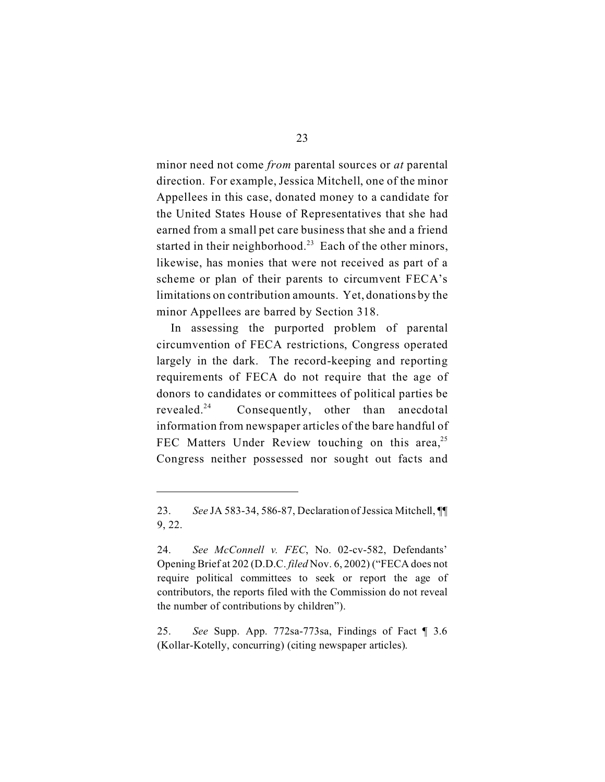minor need not come *from* parental sources or *at* parental direction. For example, Jessica Mitchell, one of the minor Appellees in this case, donated money to a candidate for the United States House of Representatives that she had earned from a small pet care business that she and a friend started in their neighborhood.<sup>23</sup> Each of the other minors, likewise, has monies that were not received as part of a scheme or plan of their parents to circumvent FECA's limitations on contribution amounts. Yet, donations by the minor Appellees are barred by Section 318.

In assessing the purported problem of parental circumvention of FECA restrictions, Congress operated largely in the dark. The record-keeping and reporting requirements of FECA do not require that the age of donors to candidates or committees of political parties be revealed.<sup>24</sup> Consequently, other than anecdotal information from newspaper articles of the bare handful of FEC Matters Under Review touching on this area,<sup>25</sup> Congress neither possessed nor sought out facts and

<sup>23.</sup> *See* JA 583-34, 586-87, Declaration of Jessica Mitchell, ¶¶ 9, 22.

<sup>24.</sup> *See McConnell v. FEC*, No. 02-cv-582, Defendants' Opening Brief at 202 (D.D.C. *filed* Nov. 6, 2002) ("FECA does not require political committees to seek or report the age of contributors, the reports filed with the Commission do not reveal the number of contributions by children").

<sup>25.</sup> *See* Supp. App. 772sa-773sa, Findings of Fact ¶ 3.6 (Kollar-Kotelly, concurring) (citing newspaper articles).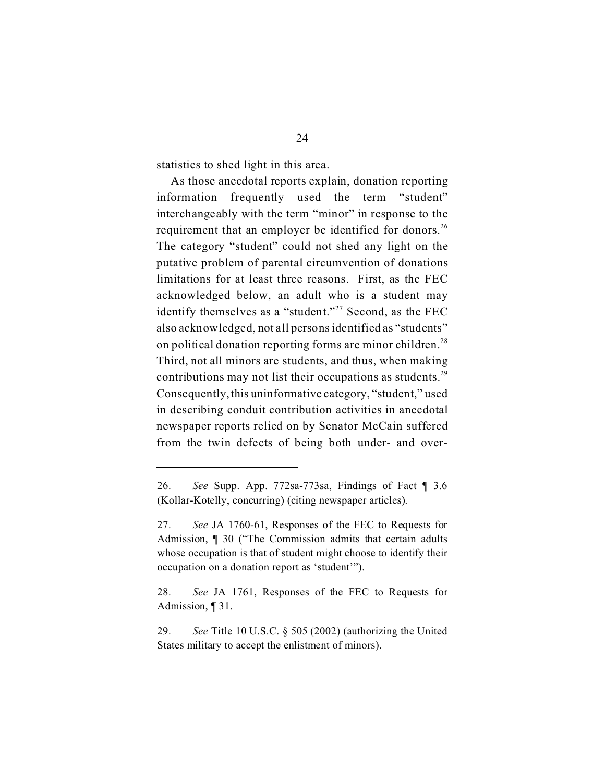statistics to shed light in this area.

As those anecdotal reports explain, donation reporting information frequently used the term "student" interchangeably with the term "minor" in response to the requirement that an employer be identified for donors.<sup>26</sup> The category "student" could not shed any light on the putative problem of parental circumvention of donations limitations for at least three reasons. First, as the FEC acknowledged below, an adult who is a student may identify themselves as a "student."<sup>27</sup> Second, as the FEC also acknowledged, not all persons identified as "students" on political donation reporting forms are minor children.<sup>28</sup> Third, not all minors are students, and thus, when making contributions may not list their occupations as students.<sup>29</sup> Consequently,this uninformative category, "student," used in describing conduit contribution activities in anecdotal newspaper reports relied on by Senator McCain suffered from the twin defects of being both under- and over-

<sup>26.</sup> *See* Supp. App. 772sa-773sa, Findings of Fact ¶ 3.6 (Kollar-Kotelly, concurring) (citing newspaper articles).

<sup>27.</sup> *See* JA 1760-61, Responses of the FEC to Requests for Admission, ¶ 30 ("The Commission admits that certain adults whose occupation is that of student might choose to identify their occupation on a donation report as 'student'").

<sup>28.</sup> *See* JA 1761, Responses of the FEC to Requests for Admission, ¶ 31.

<sup>29.</sup> *See* Title 10 U.S.C. § 505 (2002) (authorizing the United States military to accept the enlistment of minors).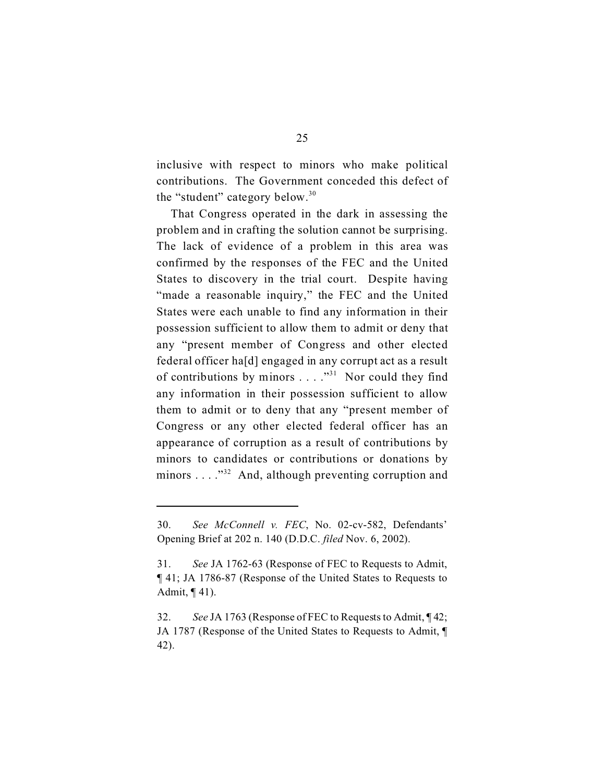inclusive with respect to minors who make political contributions. The Government conceded this defect of the "student" category below.<sup>30</sup>

That Congress operated in the dark in assessing the problem and in crafting the solution cannot be surprising. The lack of evidence of a problem in this area was confirmed by the responses of the FEC and the United States to discovery in the trial court. Despite having "made a reasonable inquiry," the FEC and the United States were each unable to find any information in their possession sufficient to allow them to admit or deny that any "present member of Congress and other elected federal officer ha[d] engaged in any corrupt act as a result of contributions by minors  $\dots$  ."<sup>31</sup> Nor could they find any information in their possession sufficient to allow them to admit or to deny that any "present member of Congress or any other elected federal officer has an appearance of corruption as a result of contributions by minors to candidates or contributions or donations by minors . . . . "<sup>32</sup> And, although preventing corruption and

<sup>30.</sup> *See McConnell v. FEC*, No. 02-cv-582, Defendants' Opening Brief at 202 n. 140 (D.D.C. *filed* Nov. 6, 2002).

<sup>31.</sup> *See* JA 1762-63 (Response of FEC to Requests to Admit, ¶ 41; JA 1786-87 (Response of the United States to Requests to Admit, ¶ 41).

<sup>32.</sup> *See* JA 1763 (Response of FEC to Requests to Admit, ¶ 42; JA 1787 (Response of the United States to Requests to Admit, ¶ 42).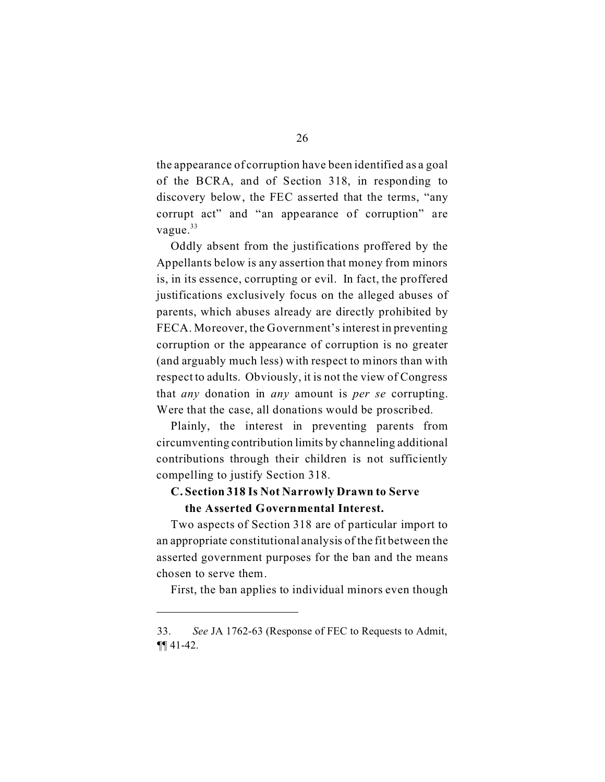the appearance of corruption have been identified as a goal of the BCRA, and of Section 318, in responding to discovery below, the FEC asserted that the terms, "any corrupt act" and "an appearance of corruption" are vague.<sup>33</sup>

Oddly absent from the justifications proffered by the Appellants below is any assertion that money from minors is, in its essence, corrupting or evil. In fact, the proffered justifications exclusively focus on the alleged abuses of parents, which abuses already are directly prohibited by FECA. Moreover, the Government's interest in preventing corruption or the appearance of corruption is no greater (and arguably much less) with respect to minors than with respect to adults. Obviously, it is not the view of Congress that *any* donation in *any* amount is *per se* corrupting. Were that the case, all donations would be proscribed.

Plainly, the interest in preventing parents from circumventing contribution limits by channeling additional contributions through their children is not sufficiently compelling to justify Section 318.

#### **C. Section 318 Is Not Narrowly Drawn to Serve**

#### **the Asserted Governmental Interest.**

Two aspects of Section 318 are of particular import to an appropriate constitutional analysis of the fit between the asserted government purposes for the ban and the means chosen to serve them.

First, the ban applies to individual minors even though

<sup>33.</sup> *See* JA 1762-63 (Response of FEC to Requests to Admit, ¶¶ 41-42.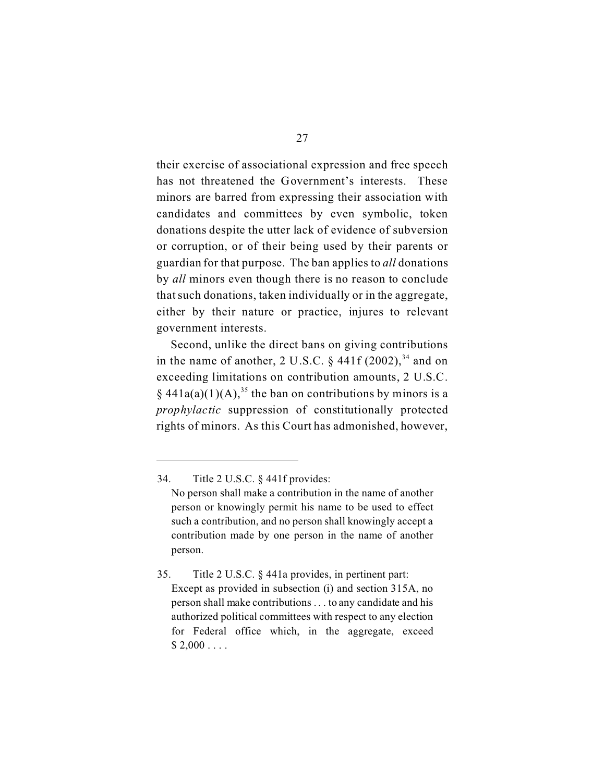their exercise of associational expression and free speech has not threatened the Government's interests. These minors are barred from expressing their association with candidates and committees by even symbolic, token donations despite the utter lack of evidence of subversion or corruption, or of their being used by their parents or guardian for that purpose. The ban applies to *all* donations by *all* minors even though there is no reason to conclude that such donations, taken individually or in the aggregate, either by their nature or practice, injures to relevant government interests.

Second, unlike the direct bans on giving contributions in the name of another, 2 U.S.C.  $\frac{6}{7}$  441f (2002),<sup>34</sup> and on exceeding limitations on contribution amounts, 2 U.S.C. §  $441a(a)(1)(A)$ ,<sup>35</sup> the ban on contributions by minors is a *prophylactic* suppression of constitutionally protected rights of minors. As this Court has admonished, however,

<sup>34.</sup> Title 2 U.S.C. § 441f provides: No person shall make a contribution in the name of another person or knowingly permit his name to be used to effect such a contribution, and no person shall knowingly accept a contribution made by one person in the name of another person.

<sup>35.</sup>  Title 2 U.S.C. § 441a provides, in pertinent part: Except as provided in subsection (i) and section 315A, no person shall make contributions . . . to any candidate and his authorized political committees with respect to any election for Federal office which, in the aggregate, exceed  $$ 2,000...$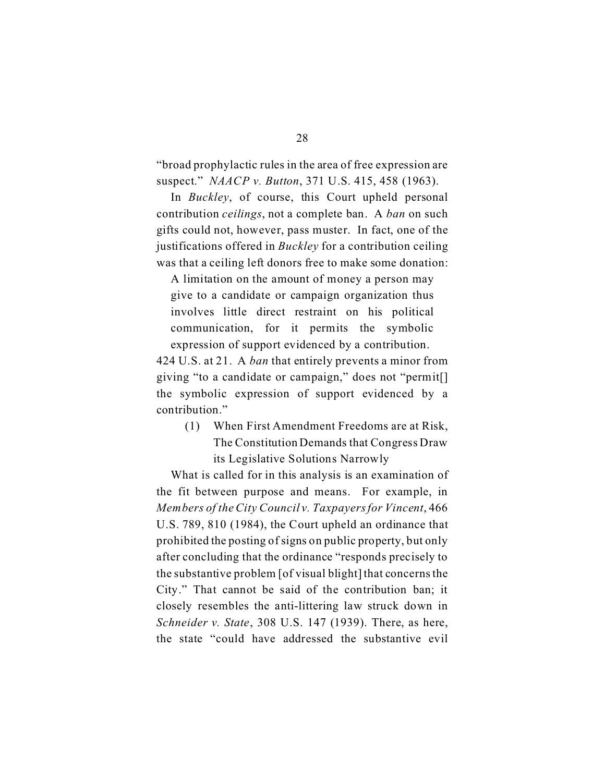"broad prophylactic rules in the area of free expression are suspect." *NAACP v. Button*, 371 U.S. 415, 458 (1963).

In *Buckley*, of course, this Court upheld personal contribution *ceilings*, not a complete ban. A *ban* on such gifts could not, however, pass muster. In fact, one of the justifications offered in *Buckley* for a contribution ceiling was that a ceiling left donors free to make some donation:

A limitation on the amount of money a person may give to a candidate or campaign organization thus involves little direct restraint on his political communication, for it permits the symbolic expression of support evidenced by a contribution.

424 U.S. at 21. A *ban* that entirely prevents a minor from giving "to a candidate or campaign," does not "permit[] the symbolic expression of support evidenced by a contribution."

(1) When First Amendment Freedoms are at Risk, The Constitution Demands that Congress Draw its Legislative Solutions Narrowly

What is called for in this analysis is an examination of the fit between purpose and means. For example, in *Members of the City Council v. Taxpayers for Vincent*, 466 U.S. 789, 810 (1984), the Court upheld an ordinance that prohibited the posting of signs on public property, but only after concluding that the ordinance "responds precisely to the substantive problem [of visual blight] that concerns the City." That cannot be said of the contribution ban; it closely resembles the anti-littering law struck down in *Schneider v. State*, 308 U.S. 147 (1939). There, as here, the state "could have addressed the substantive evil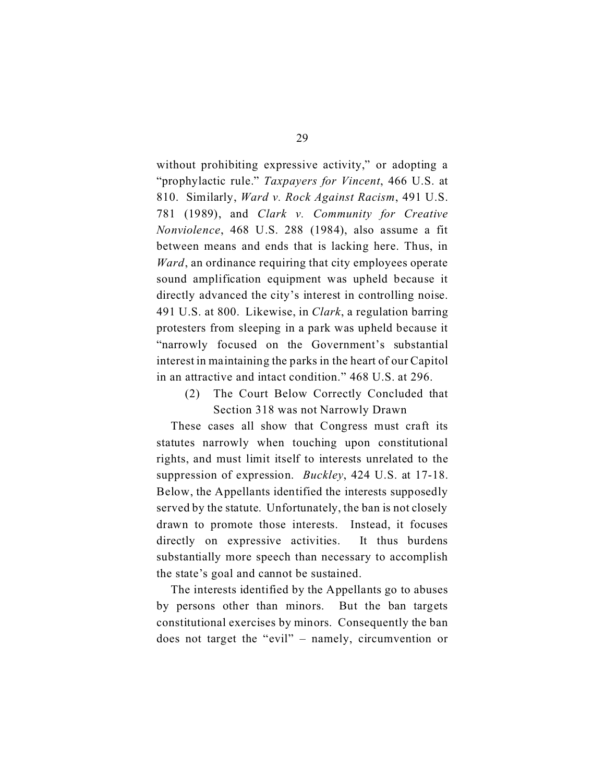without prohibiting expressive activity," or adopting a "prophylactic rule." *Taxpayers for Vincent*, 466 U.S. at 810. Similarly, *Ward v. Rock Against Racism*, 491 U.S. 781 (1989), and *Clark v. Community for Creative Nonviolence*, 468 U.S. 288 (1984), also assume a fit between means and ends that is lacking here. Thus, in *Ward*, an ordinance requiring that city employees operate sound amplification equipment was upheld because it directly advanced the city's interest in controlling noise. 491 U.S. at 800. Likewise, in *Clark*, a regulation barring protesters from sleeping in a park was upheld because it "narrowly focused on the Government's substantial interest in maintaining the parks in the heart of our Capitol in an attractive and intact condition." 468 U.S. at 296.

(2) The Court Below Correctly Concluded that Section 318 was not Narrowly Drawn

These cases all show that Congress must craft its statutes narrowly when touching upon constitutional rights, and must limit itself to interests unrelated to the suppression of expression. *Buckley*, 424 U.S. at 17-18. Below, the Appellants identified the interests supposedly served by the statute. Unfortunately, the ban is not closely drawn to promote those interests. Instead, it focuses directly on expressive activities. It thus burdens substantially more speech than necessary to accomplish the state's goal and cannot be sustained.

The interests identified by the Appellants go to abuses by persons other than minors. But the ban targets constitutional exercises by minors. Consequently the ban does not target the "evil" – namely, circumvention or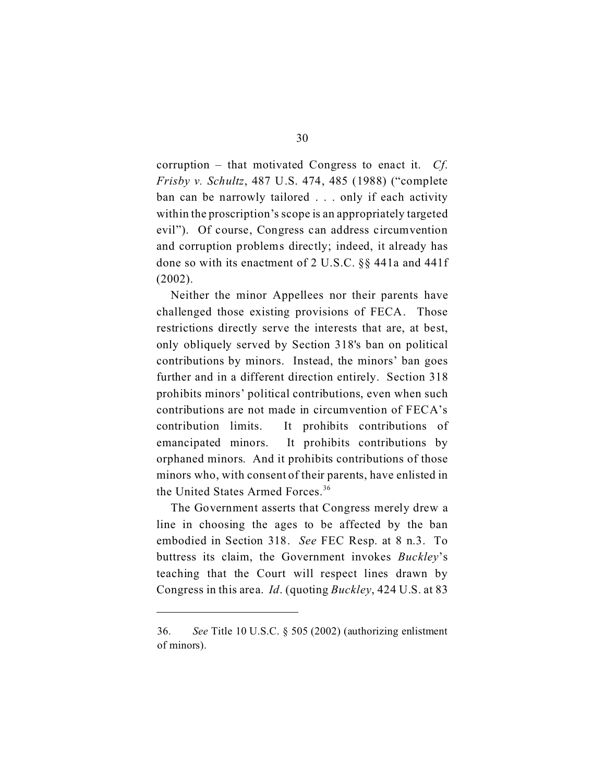corruption – that motivated Congress to enact it. *Cf*. *Frisby v. Schultz*, 487 U.S. 474, 485 (1988) ("complete ban can be narrowly tailored . . . only if each activity within the proscription's scope is an appropriately targeted evil"). Of course, Congress can address circumvention and corruption problems directly; indeed, it already has done so with its enactment of 2 U.S.C. §§ 441a and 441f (2002).

Neither the minor Appellees nor their parents have challenged those existing provisions of FECA. Those restrictions directly serve the interests that are, at best, only obliquely served by Section 318's ban on political contributions by minors. Instead, the minors' ban goes further and in a different direction entirely. Section 318 prohibits minors' political contributions, even when such contributions are not made in circumvention of FECA's contribution limits. It prohibits contributions of emancipated minors. It prohibits contributions by orphaned minors. And it prohibits contributions of those minors who, with consent of their parents, have enlisted in the United States Armed Forces.<sup>36</sup>

The Government asserts that Congress merely drew a line in choosing the ages to be affected by the ban embodied in Section 318. *See* FEC Resp. at 8 n.3. To buttress its claim, the Government invokes *Buckley*'s teaching that the Court will respect lines drawn by Congress in this area. *Id*. (quoting *Buckley*, 424 U.S. at 83

<sup>36.</sup> *See* Title 10 U.S.C. § 505 (2002) (authorizing enlistment of minors).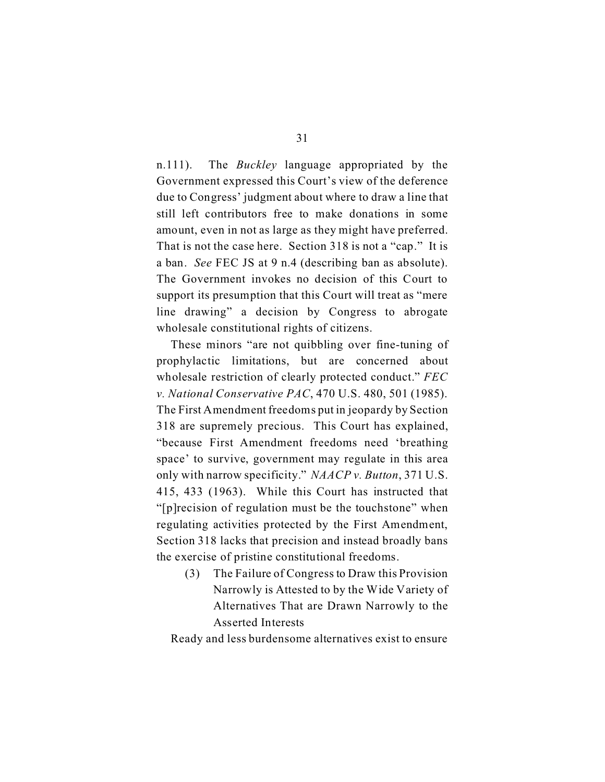n.111). The *Buckley* language appropriated by the Government expressed this Court's view of the deference due to Congress' judgment about where to draw a line that still left contributors free to make donations in some amount, even in not as large as they might have preferred. That is not the case here. Section 318 is not a "cap." It is a ban. *See* FEC JS at 9 n.4 (describing ban as absolute). The Government invokes no decision of this Court to support its presumption that this Court will treat as "mere line drawing" a decision by Congress to abrogate wholesale constitutional rights of citizens.

These minors "are not quibbling over fine-tuning of prophylactic limitations, but are concerned about wholesale restriction of clearly protected conduct." *FEC v. National Conservative PAC*, 470 U.S. 480, 501 (1985). The First Amendment freedoms put in jeopardy by Section 318 are supremely precious. This Court has explained, "because First Amendment freedoms need 'breathing space' to survive, government may regulate in this area only with narrow specificity." *NAACP v. Button*, 371 U.S. 415, 433 (1963). While this Court has instructed that "[p]recision of regulation must be the touchstone" when regulating activities protected by the First Amendment, Section 318 lacks that precision and instead broadly bans the exercise of pristine constitutional freedoms.

(3) The Failure of Congress to Draw this Provision Narrowly is Attested to by the Wide Variety of Alternatives That are Drawn Narrowly to the Asserted Interests

Ready and less burdensome alternatives exist to ensure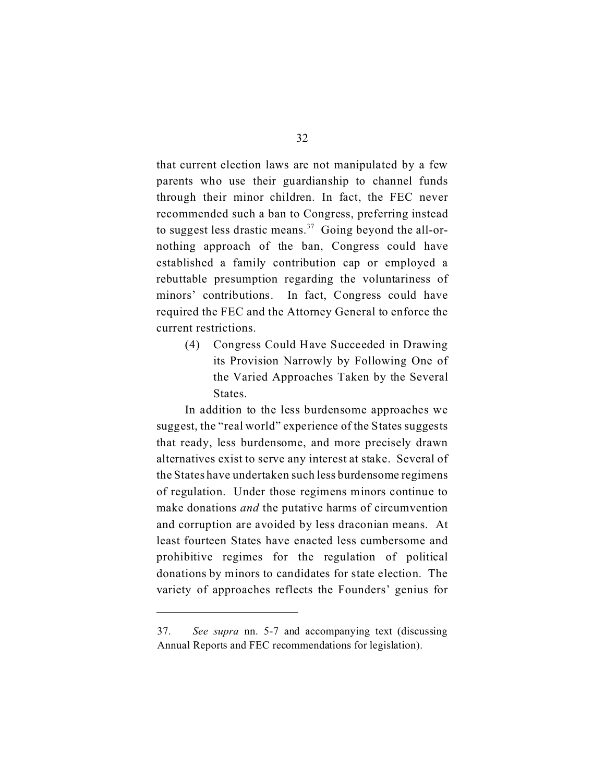that current election laws are not manipulated by a few parents who use their guardianship to channel funds through their minor children. In fact, the FEC never recommended such a ban to Congress, preferring instead to suggest less drastic means.<sup>37</sup> Going beyond the all-ornothing approach of the ban, Congress could have established a family contribution cap or employed a rebuttable presumption regarding the voluntariness of minors' contributions. In fact, Congress could have required the FEC and the Attorney General to enforce the current restrictions.

(4) Congress Could Have Succeeded in Drawing its Provision Narrowly by Following One of the Varied Approaches Taken by the Several States.

In addition to the less burdensome approaches we suggest, the "real world" experience of the States suggests that ready, less burdensome, and more precisely drawn alternatives exist to serve any interest at stake. Several of the States have undertaken such less burdensome regimens of regulation. Under those regimens minors continue to make donations *and* the putative harms of circumvention and corruption are avoided by less draconian means. At least fourteen States have enacted less cumbersome and prohibitive regimes for the regulation of political donations by minors to candidates for state election. The variety of approaches reflects the Founders' genius for

<sup>37.</sup> *See supra* nn. 5-7 and accompanying text (discussing Annual Reports and FEC recommendations for legislation).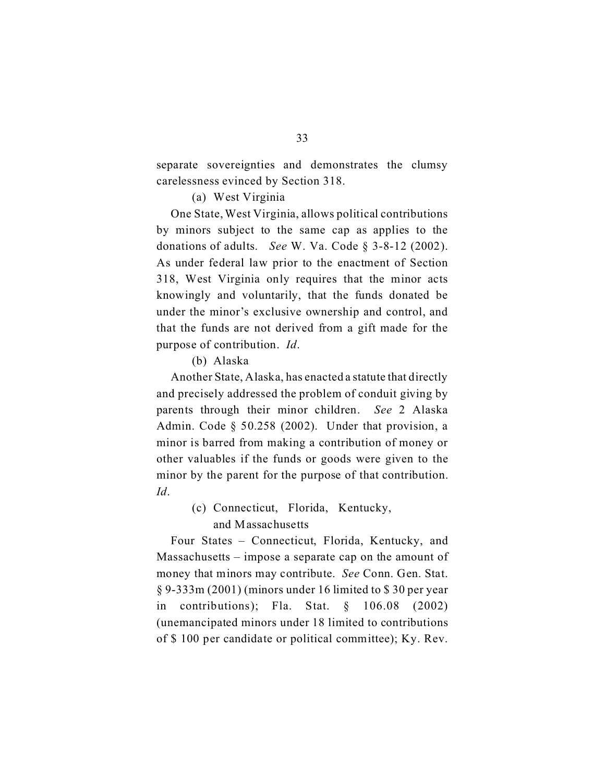separate sovereignties and demonstrates the clumsy carelessness evinced by Section 318.

#### (a) West Virginia

One State, West Virginia, allows political contributions by minors subject to the same cap as applies to the donations of adults. *See* W. Va. Code § 3-8-12 (2002). As under federal law prior to the enactment of Section 318, West Virginia only requires that the minor acts knowingly and voluntarily, that the funds donated be under the minor's exclusive ownership and control, and that the funds are not derived from a gift made for the purpose of contribution. *Id*.

(b) Alaska

Another State, Alaska, has enacted a statute that directly and precisely addressed the problem of conduit giving by parents through their minor children. *See* 2 Alaska Admin. Code § 50.258 (2002). Under that provision, a minor is barred from making a contribution of money or other valuables if the funds or goods were given to the minor by the parent for the purpose of that contribution. *Id*.

> (c) Connecticut, Florida, Kentucky, and Massachusetts

Four States – Connecticut, Florida, Kentucky, and Massachusetts – impose a separate cap on the amount of money that minors may contribute. *See* Conn. Gen. Stat. § 9-333m (2001) (minors under 16 limited to \$ 30 per year in contributions); Fla. Stat. § 106.08 (2002) (unemancipated minors under 18 limited to contributions of \$ 100 per candidate or political committee); Ky. Rev.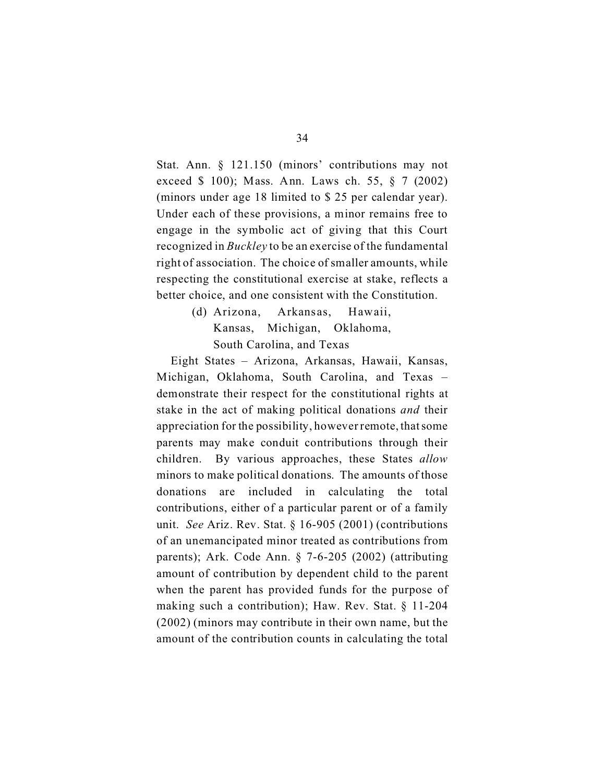Stat. Ann. § 121.150 (minors' contributions may not exceed \$ 100); Mass. Ann. Laws ch. 55, § 7 (2002) (minors under age 18 limited to \$ 25 per calendar year). Under each of these provisions, a minor remains free to engage in the symbolic act of giving that this Court recognized in *Buckley* to be an exercise of the fundamental right of association. The choice of smaller amounts, while respecting the constitutional exercise at stake, reflects a better choice, and one consistent with the Constitution.

> (d) Arizona, Arkansas, Hawaii, Kansas, Michigan, Oklahoma, South Carolina, and Texas

Eight States – Arizona, Arkansas, Hawaii, Kansas, Michigan, Oklahoma, South Carolina, and Texas – demonstrate their respect for the constitutional rights at stake in the act of making political donations *and* their appreciation for the possibility, however remote, that some parents may make conduit contributions through their children. By various approaches, these States *allow*  minors to make political donations. The amounts of those donations are included in calculating the total contributions, either of a particular parent or of a family unit. *See* Ariz. Rev. Stat. § 16-905 (2001) (contributions of an unemancipated minor treated as contributions from parents); Ark. Code Ann. § 7-6-205 (2002) (attributing amount of contribution by dependent child to the parent when the parent has provided funds for the purpose of making such a contribution); Haw. Rev. Stat. § 11-204 (2002) (minors may contribute in their own name, but the amount of the contribution counts in calculating the total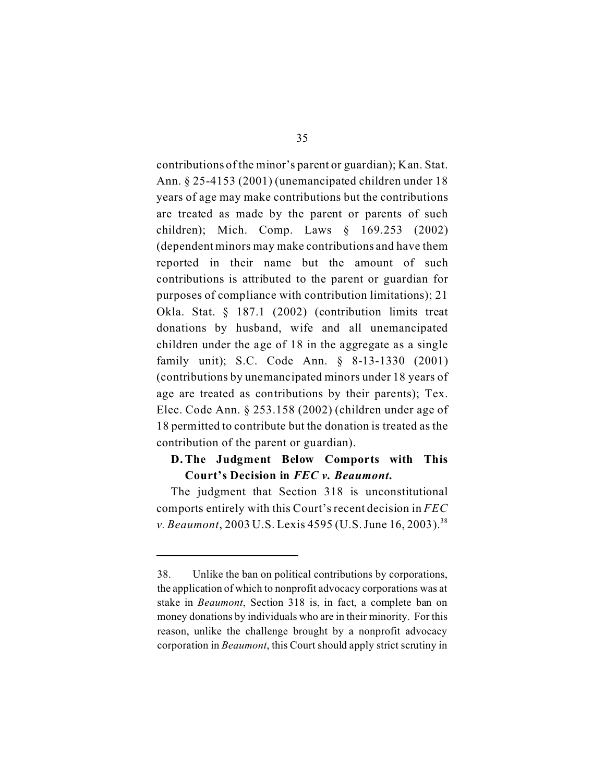contributions of the minor's parent or guardian); Kan. Stat. Ann. § 25-4153 (2001) (unemancipated children under 18 years of age may make contributions but the contributions are treated as made by the parent or parents of such children); Mich. Comp. Laws § 169.253 (2002) (dependent minors may make contributions and have them reported in their name but the amount of such contributions is attributed to the parent or guardian for purposes of compliance with contribution limitations); 21 Okla. Stat. § 187.1 (2002) (contribution limits treat donations by husband, wife and all unemancipated children under the age of 18 in the aggregate as a single family unit); S.C. Code Ann. § 8-13-1330 (2001) (contributions by unemancipated minors under 18 years of age are treated as contributions by their parents); Tex. Elec. Code Ann. § 253.158 (2002) (children under age of 18 permitted to contribute but the donation is treated as the contribution of the parent or guardian).

## **D. The Judgment Below Comports with This Court's Decision in** *FEC v. Beaumont***.**

The judgment that Section 318 is unconstitutional comports entirely with this Court's recent decision in *FEC v. Beaumont*, 2003 U.S. Lexis 4595 (U.S. June 16, 2003).<sup>38</sup>

<sup>38.</sup> Unlike the ban on political contributions by corporations, the application of which to nonprofit advocacy corporations was at stake in *Beaumont*, Section 318 is, in fact, a complete ban on money donations by individuals who are in their minority. For this reason, unlike the challenge brought by a nonprofit advocacy corporation in *Beaumont*, this Court should apply strict scrutiny in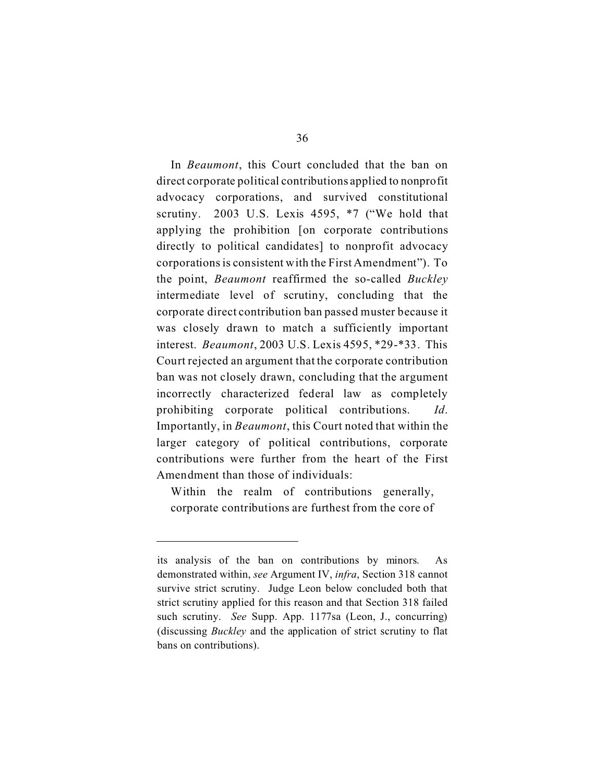In *Beaumont*, this Court concluded that the ban on direct corporate political contributions applied to nonprofit advocacy corporations, and survived constitutional scrutiny. 2003 U.S. Lexis 4595, \*7 ("We hold that applying the prohibition [on corporate contributions directly to political candidates] to nonprofit advocacy corporations is consistent with the First Amendment"). To the point, *Beaumont* reaffirmed the so-called *Buckley*  intermediate level of scrutiny, concluding that the corporate direct contribution ban passed muster because it was closely drawn to match a sufficiently important interest. *Beaumont*, 2003 U.S. Lexis 4595, \*29-\*33. This Court rejected an argument that the corporate contribution ban was not closely drawn, concluding that the argument incorrectly characterized federal law as completely prohibiting corporate political contributions. *Id*. Importantly, in *Beaumont*, this Court noted that within the larger category of political contributions, corporate contributions were further from the heart of the First Amendment than those of individuals:

Within the realm of contributions generally, corporate contributions are furthest from the core of

its analysis of the ban on contributions by minors. As demonstrated within, *see* Argument IV, *infra*, Section 318 cannot survive strict scrutiny. Judge Leon below concluded both that strict scrutiny applied for this reason and that Section 318 failed such scrutiny. *See* Supp. App. 1177sa (Leon, J., concurring) (discussing *Buckley* and the application of strict scrutiny to flat bans on contributions).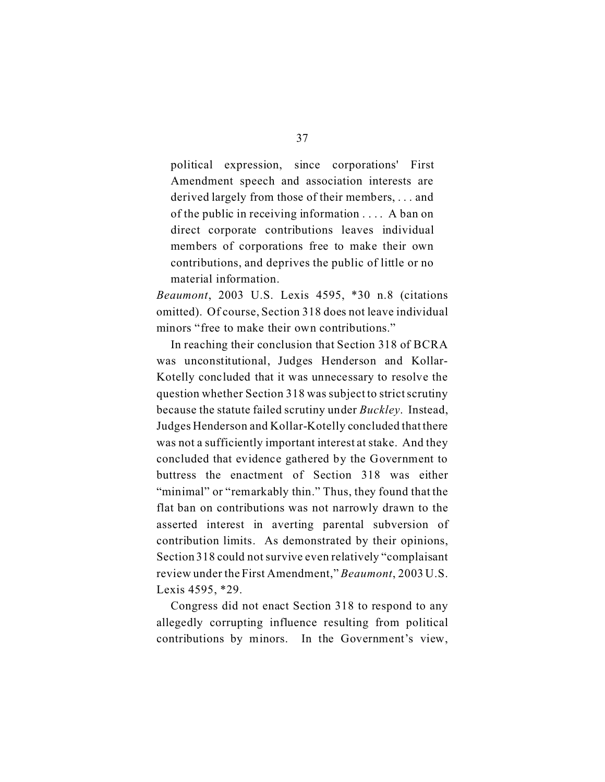political expression, since corporations' First Amendment speech and association interests are derived largely from those of their members, . . . and of the public in receiving information . . . . A ban on direct corporate contributions leaves individual members of corporations free to make their own contributions, and deprives the public of little or no material information.

*Beaumont*, 2003 U.S. Lexis 4595, \*30 n.8 (citations omitted). Of course, Section 318 does not leave individual minors "free to make their own contributions."

In reaching their conclusion that Section 318 of BCRA was unconstitutional, Judges Henderson and Kollar-Kotelly concluded that it was unnecessary to resolve the question whether Section 318 was subject to strict scrutiny because the statute failed scrutiny under *Buckley*. Instead, Judges Henderson and Kollar-Kotelly concluded that there was not a sufficiently important interest at stake. And they concluded that evidence gathered by the Government to buttress the enactment of Section 318 was either "minimal" or "remarkably thin." Thus, they found that the flat ban on contributions was not narrowly drawn to the asserted interest in averting parental subversion of contribution limits. As demonstrated by their opinions, Section 318 could not survive even relatively "complaisant review under the First Amendment," *Beaumont*, 2003 U.S. Lexis 4595, \*29.

Congress did not enact Section 318 to respond to any allegedly corrupting influence resulting from political contributions by minors. In the Government's view,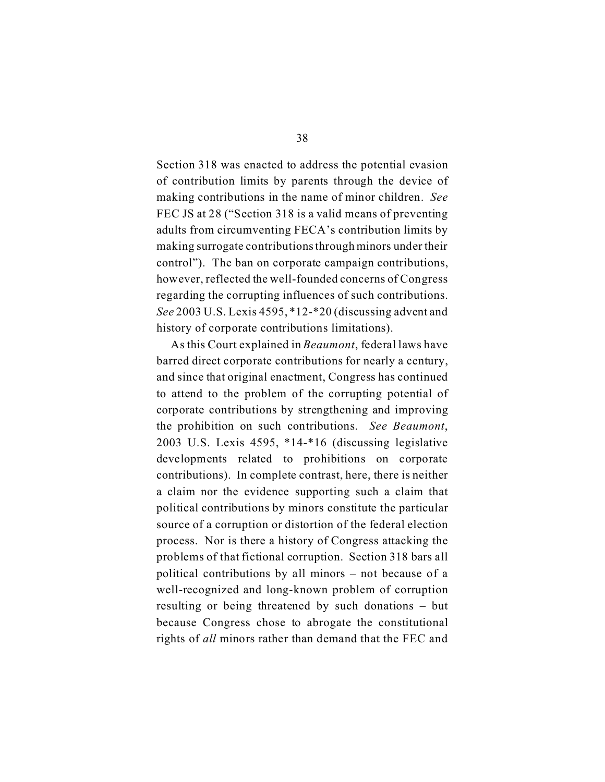Section 318 was enacted to address the potential evasion of contribution limits by parents through the device of making contributions in the name of minor children. *See*  FEC JS at 28 ("Section 318 is a valid means of preventing adults from circumventing FECA's contribution limits by making surrogate contributionsthrough minors under their control"). The ban on corporate campaign contributions, however, reflected the well-founded concerns of Congress regarding the corrupting influences of such contributions. *See* 2003 U.S. Lexis 4595, \*12-\*20 (discussing advent and history of corporate contributions limitations).

As this Court explained in *Beaumont*, federal laws have barred direct corporate contributions for nearly a century, and since that original enactment, Congress has continued to attend to the problem of the corrupting potential of corporate contributions by strengthening and improving the prohibition on such contributions. *See Beaumont*, 2003 U.S. Lexis 4595, \*14-\*16 (discussing legislative developments related to prohibitions on corporate contributions). In complete contrast, here, there is neither a claim nor the evidence supporting such a claim that political contributions by minors constitute the particular source of a corruption or distortion of the federal election process. Nor is there a history of Congress attacking the problems of that fictional corruption. Section 318 bars all political contributions by all minors – not because of a well-recognized and long-known problem of corruption resulting or being threatened by such donations – but because Congress chose to abrogate the constitutional rights of *all* minors rather than demand that the FEC and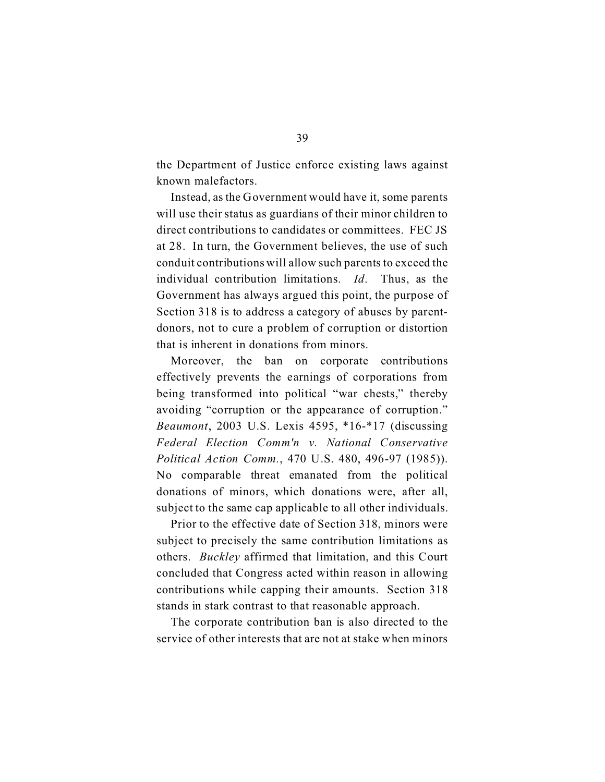the Department of Justice enforce existing laws against known malefactors.

Instead, as the Government would have it, some parents will use their status as guardians of their minor children to direct contributions to candidates or committees. FEC JS at 28. In turn, the Government believes, the use of such conduit contributions will allow such parents to exceed the individual contribution limitations. *Id*. Thus, as the Government has always argued this point, the purpose of Section 318 is to address a category of abuses by parentdonors, not to cure a problem of corruption or distortion that is inherent in donations from minors.

Moreover, the ban on corporate contributions effectively prevents the earnings of corporations from being transformed into political "war chests," thereby avoiding "corruption or the appearance of corruption." *Beaumont*, 2003 U.S. Lexis 4595, \*16-\*17 (discussing *Federal Election Comm'n v. National Conservative Political Action Comm.*, 470 U.S. 480, 496-97 (1985)). No comparable threat emanated from the political donations of minors, which donations were, after all, subject to the same cap applicable to all other individuals.

Prior to the effective date of Section 318, minors were subject to precisely the same contribution limitations as others. *Buckley* affirmed that limitation, and this Court concluded that Congress acted within reason in allowing contributions while capping their amounts. Section 318 stands in stark contrast to that reasonable approach.

The corporate contribution ban is also directed to the service of other interests that are not at stake when minors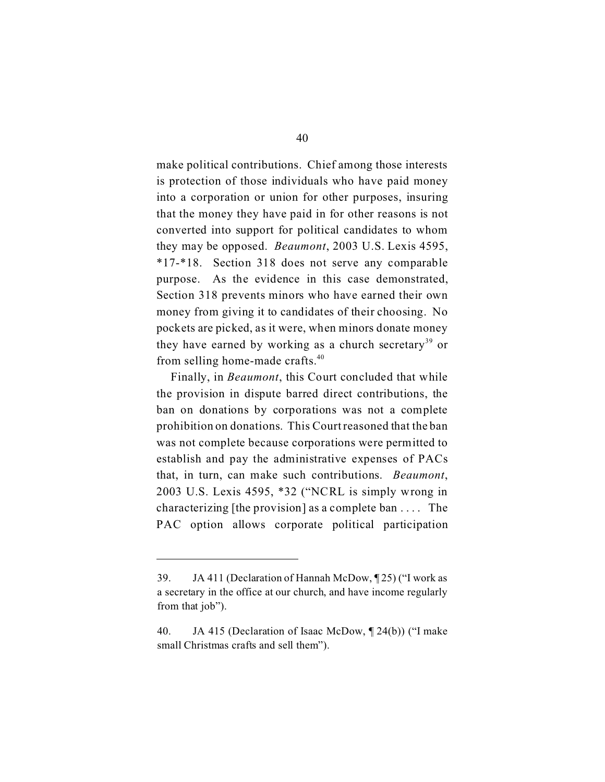make political contributions. Chief among those interests is protection of those individuals who have paid money into a corporation or union for other purposes, insuring that the money they have paid in for other reasons is not converted into support for political candidates to whom they may be opposed. *Beaumont*, 2003 U.S. Lexis 4595, \*17-\*18. Section 318 does not serve any comparable purpose. As the evidence in this case demonstrated, Section 318 prevents minors who have earned their own money from giving it to candidates of their choosing. No pockets are picked, as it were, when minors donate money they have earned by working as a church secretary<sup>39</sup> or from selling home-made crafts.<sup>40</sup>

Finally, in *Beaumont*, this Court concluded that while the provision in dispute barred direct contributions, the ban on donations by corporations was not a complete prohibition on donations. This Court reasoned that the ban was not complete because corporations were permitted to establish and pay the administrative expenses of PACs that, in turn, can make such contributions. *Beaumont*, 2003 U.S. Lexis 4595, \*32 ("NCRL is simply wrong in characterizing [the provision] as a complete ban . . . . The PAC option allows corporate political participation

<sup>39.</sup> JA 411 (Declaration of Hannah McDow, ¶ 25) ("I work as a secretary in the office at our church, and have income regularly from that job").

<sup>40.</sup> JA 415 (Declaration of Isaac McDow, ¶ 24(b)) ("I make small Christmas crafts and sell them").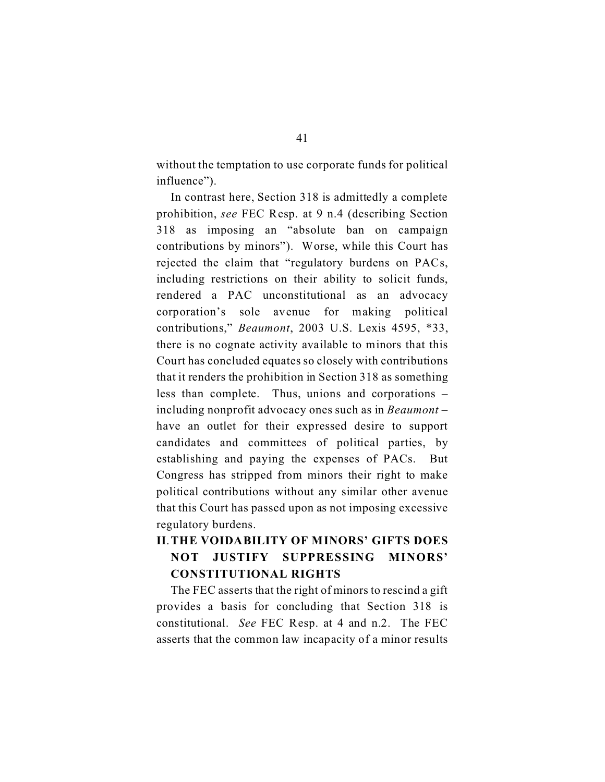without the temptation to use corporate funds for political influence").

In contrast here, Section 318 is admittedly a complete prohibition, *see* FEC Resp. at 9 n.4 (describing Section 318 as imposing an "absolute ban on campaign contributions by minors"). Worse, while this Court has rejected the claim that "regulatory burdens on PACs, including restrictions on their ability to solicit funds, rendered a PAC unconstitutional as an advocacy corporation's sole avenue for making political contributions," *Beaumont*, 2003 U.S. Lexis 4595, \*33, there is no cognate activity available to minors that this Court has concluded equates so closely with contributions that it renders the prohibition in Section 318 as something less than complete. Thus, unions and corporations – including nonprofit advocacy ones such as in *Beaumont* – have an outlet for their expressed desire to support candidates and committees of political parties, by establishing and paying the expenses of PACs. But Congress has stripped from minors their right to make political contributions without any similar other avenue that this Court has passed upon as not imposing excessive regulatory burdens.

## **II**. **THE VOIDABILITY OF MINORS' GIFTS DOES NOT JUSTIFY SUPPRESSING MINORS' CONSTITUTIONAL RIGHTS**

The FEC asserts that the right of minors to rescind a gift provides a basis for concluding that Section 318 is constitutional. *See* FEC Resp. at 4 and n.2. The FEC asserts that the common law incapacity of a minor results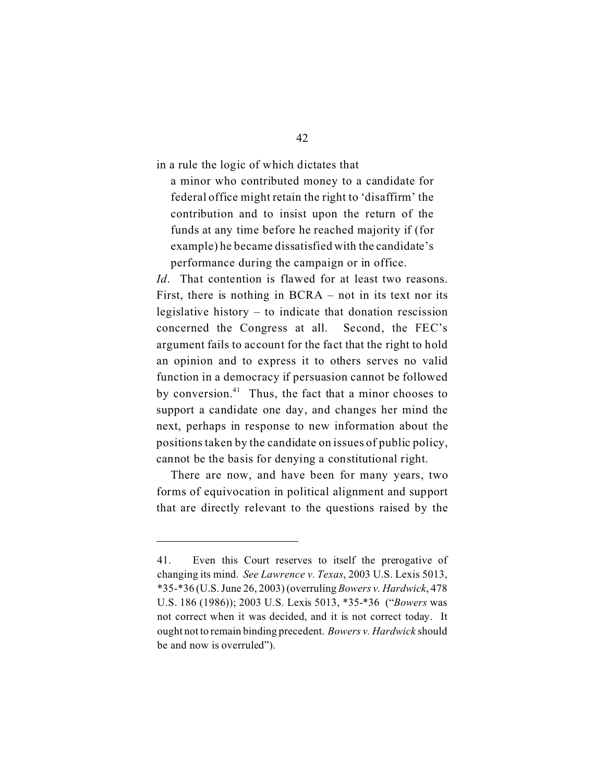in a rule the logic of which dictates that

a minor who contributed money to a candidate for federal office might retain the right to 'disaffirm' the contribution and to insist upon the return of the funds at any time before he reached majority if (for example) he became dissatisfied with the candidate's performance during the campaign or in office.

*Id*. That contention is flawed for at least two reasons. First, there is nothing in BCRA – not in its text nor its legislative history – to indicate that donation rescission concerned the Congress at all. Second, the FEC's argument fails to account for the fact that the right to hold an opinion and to express it to others serves no valid function in a democracy if persuasion cannot be followed by conversion. $41$  Thus, the fact that a minor chooses to support a candidate one day, and changes her mind the next, perhaps in response to new information about the positions taken by the candidate on issues of public policy, cannot be the basis for denying a constitutional right.

There are now, and have been for many years, two forms of equivocation in political alignment and support that are directly relevant to the questions raised by the

<sup>41.</sup> Even this Court reserves to itself the prerogative of changing its mind. *See Lawrence v. Texas*, 2003 U.S. Lexis 5013, \*35-\*36 (U.S. June 26, 2003) (overruling *Bowers v. Hardwick*, 478 U.S. 186 (1986)); 2003 U.S. Lexis 5013, \*35-\*36 ("*Bowers* was not correct when it was decided, and it is not correct today. It ought not to remain binding precedent. *Bowers v. Hardwick* should be and now is overruled").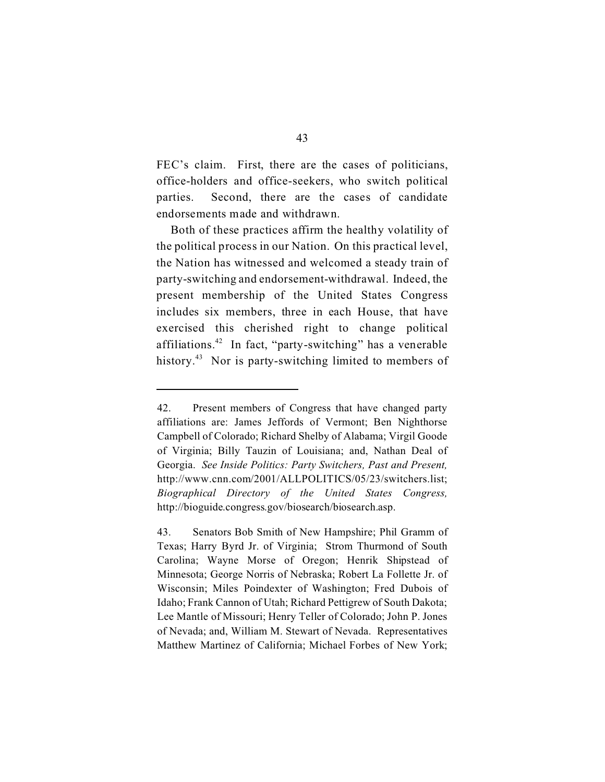FEC's claim. First, there are the cases of politicians, office-holders and office-seekers, who switch political parties. Second, there are the cases of candidate endorsements made and withdrawn.

Both of these practices affirm the healthy volatility of the political process in our Nation. On this practical level, the Nation has witnessed and welcomed a steady train of party-switching and endorsement-withdrawal. Indeed, the present membership of the United States Congress includes six members, three in each House, that have exercised this cherished right to change political affiliations.42 In fact, "party-switching" has a venerable history.<sup>43</sup> Nor is party-switching limited to members of

<sup>42.</sup> Present members of Congress that have changed party affiliations are: James Jeffords of Vermont; Ben Nighthorse Campbell of Colorado; Richard Shelby of Alabama; Virgil Goode of Virginia; Billy Tauzin of Louisiana; and, Nathan Deal of Georgia. *See Inside Politics: Party Switchers, Past and Present,*  http://www.cnn.com/2001/ALLPOLITICS/05/23/switchers.list; *Biographical Directory of the United States Congress,*  http://bioguide.congress.gov/biosearch/biosearch.asp.

<sup>43.</sup> Senators Bob Smith of New Hampshire; Phil Gramm of Texas; Harry Byrd Jr. of Virginia; Strom Thurmond of South Carolina; Wayne Morse of Oregon; Henrik Shipstead of Minnesota; George Norris of Nebraska; Robert La Follette Jr. of Wisconsin; Miles Poindexter of Washington; Fred Dubois of Idaho; Frank Cannon of Utah; Richard Pettigrew of South Dakota; Lee Mantle of Missouri; Henry Teller of Colorado; John P. Jones of Nevada; and, William M. Stewart of Nevada. Representatives Matthew Martinez of California; Michael Forbes of New York;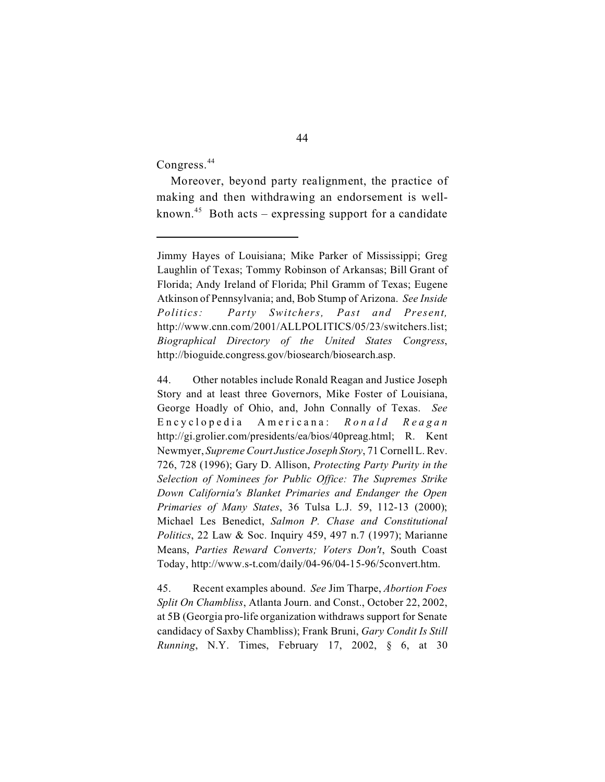Congress.<sup>44</sup>

Moreover, beyond party realignment, the practice of making and then withdrawing an endorsement is wellknown.<sup>45</sup> Both acts – expressing support for a candidate

Jimmy Hayes of Louisiana; Mike Parker of Mississippi; Greg Laughlin of Texas; Tommy Robinson of Arkansas; Bill Grant of Florida; Andy Ireland of Florida; Phil Gramm of Texas; Eugene Atkinson of Pennsylvania; and, Bob Stump of Arizona. *See Inside Politics: Party Switchers, Past and Present,*  http://www.cnn.com/2001/ALLPOLITICS/05/23/switchers.list; *Biographical Directory of the United States Congress*, http://bioguide.congress.gov/biosearch/biosearch.asp.

<sup>44.</sup> Other notables include Ronald Reagan and Justice Joseph Story and at least three Governors, Mike Foster of Louisiana, George Hoadly of Ohio, and, John Connally of Texas. *See*  Encyclopedia Americana: *Ronald Reag a n*  http://gi.grolier.com/presidents/ea/bios/40preag.html; R. Kent Newmyer, *Supreme Court Justice Joseph Story*, 71 Cornell L. Rev. 726, 728 (1996); Gary D. Allison, *Protecting Party Purity in the Selection of Nominees for Public Office: The Supremes Strike Down California's Blanket Primaries and Endanger the Open Primaries of Many States*, 36 Tulsa L.J. 59, 112-13 (2000); Michael Les Benedict, *Salmon P. Chase and Constitutional Politics*, 22 Law & Soc. Inquiry 459, 497 n.7 (1997); Marianne Means, *Parties Reward Converts; Voters Don't*, South Coast Today, http://www.s-t.com/daily/04-96/04-15-96/5convert.htm.

<sup>45.</sup> Recent examples abound. *See* Jim Tharpe, *Abortion Foes Split On Chambliss*, Atlanta Journ. and Const., October 22, 2002, at 5B (Georgia pro-life organization withdraws support for Senate candidacy of Saxby Chambliss); Frank Bruni, *Gary Condit Is Still Running*, N.Y. Times, February 17, 2002, § 6, at 30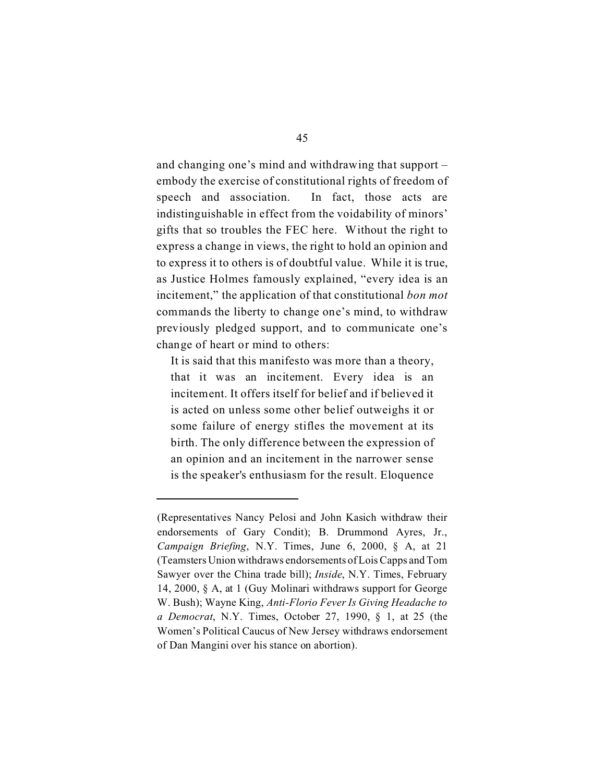and changing one's mind and withdrawing that support – embody the exercise of constitutional rights of freedom of speech and association. In fact, those acts are indistinguishable in effect from the voidability of minors' gifts that so troubles the FEC here. Without the right to express a change in views, the right to hold an opinion and to express it to others is of doubtful value. While it is true, as Justice Holmes famously explained, "every idea is an incitement," the application of that constitutional *bon mot*  commands the liberty to change one's mind, to withdraw previously pledged support, and to communicate one's change of heart or mind to others:

It is said that this manifesto was more than a theory, that it was an incitement. Every idea is an incitement. It offers itself for belief and if believed it is acted on unless some other belief outweighs it or some failure of energy stifles the movement at its birth. The only difference between the expression of an opinion and an incitement in the narrower sense is the speaker's enthusiasm for the result. Eloquence

<sup>(</sup>Representatives Nancy Pelosi and John Kasich withdraw their endorsements of Gary Condit); B. Drummond Ayres, Jr., *Campaign Briefing*, N.Y. Times, June 6, 2000, § A, at 21 (Teamsters Union withdraws endorsements of LoisCapps and Tom Sawyer over the China trade bill); *Inside*, N.Y. Times, February 14, 2000, § A, at 1 (Guy Molinari withdraws support for George W. Bush); Wayne King, *Anti-Florio Fever Is Giving Headache to a Democrat*, N.Y. Times, October 27, 1990, § 1, at 25 (the Women's Political Caucus of New Jersey withdraws endorsement of Dan Mangini over his stance on abortion).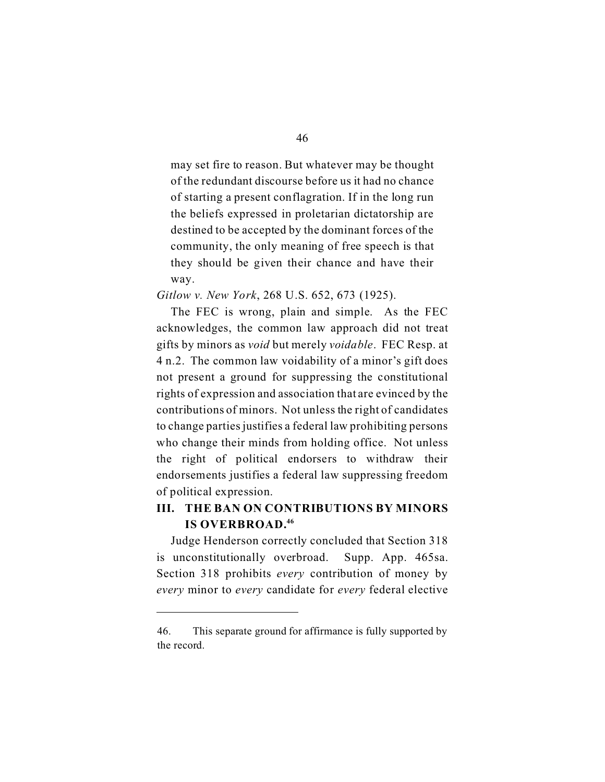may set fire to reason. But whatever may be thought of the redundant discourse before us it had no chance of starting a present conflagration. If in the long run the beliefs expressed in proletarian dictatorship are destined to be accepted by the dominant forces of the community, the only meaning of free speech is that they should be given their chance and have their way.

*Gitlow v. New York*, 268 U.S. 652, 673 (1925).

The FEC is wrong, plain and simple. As the FEC acknowledges, the common law approach did not treat gifts by minors as *void* but merely *voidable*. FEC Resp. at 4 n.2. The common law voidability of a minor's gift does not present a ground for suppressing the constitutional rights of expression and association that are evinced by the contributions of minors. Not unless the right of candidates to change parties justifies a federal law prohibiting persons who change their minds from holding office. Not unless the right of political endorsers to withdraw their endorsements justifies a federal law suppressing freedom of political expression.

## **III. THE BAN ON CONTRIBUTIONS BY MINORS IS OVERBROAD.46**

Judge Henderson correctly concluded that Section 318 is unconstitutionally overbroad. Supp. App. 465sa. Section 318 prohibits *every* contribution of money by *every* minor to *every* candidate for *every* federal elective

<sup>46.</sup> This separate ground for affirmance is fully supported by the record.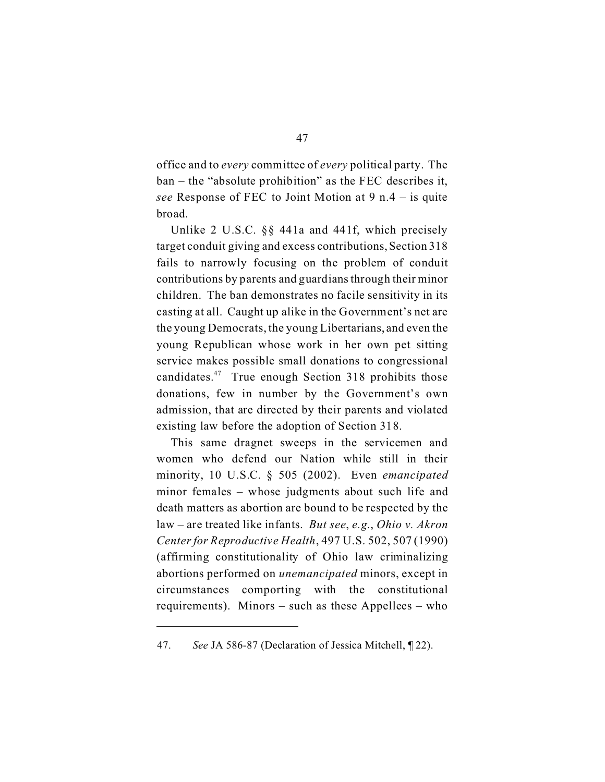office and to *every* committee of *every* political party. The ban – the "absolute prohibition" as the FEC describes it, *see* Response of FEC to Joint Motion at 9 n.4 – is quite broad.

Unlike 2 U.S.C. §§ 441a and 441f, which precisely target conduit giving and excess contributions, Section 318 fails to narrowly focusing on the problem of conduit contributions by parents and guardians through their minor children. The ban demonstrates no facile sensitivity in its casting at all. Caught up alike in the Government's net are the young Democrats, the young Libertarians, and even the young Republican whose work in her own pet sitting service makes possible small donations to congressional candidates.47 True enough Section 318 prohibits those donations, few in number by the Government's own admission, that are directed by their parents and violated existing law before the adoption of Section 318.

This same dragnet sweeps in the servicemen and women who defend our Nation while still in their minority, 10 U.S.C. § 505 (2002). Even *emancipated*  minor females – whose judgments about such life and death matters as abortion are bound to be respected by the law – are treated like infants. *But see*, *e.g.*, *Ohio v. Akron Center for Reproductive Health*, 497 U.S. 502, 507 (1990) (affirming constitutionality of Ohio law criminalizing abortions performed on *unemancipated* minors, except in circumstances comporting with the constitutional requirements). Minors – such as these Appellees – who

<sup>47.</sup> *See* JA 586-87 (Declaration of Jessica Mitchell, ¶ 22).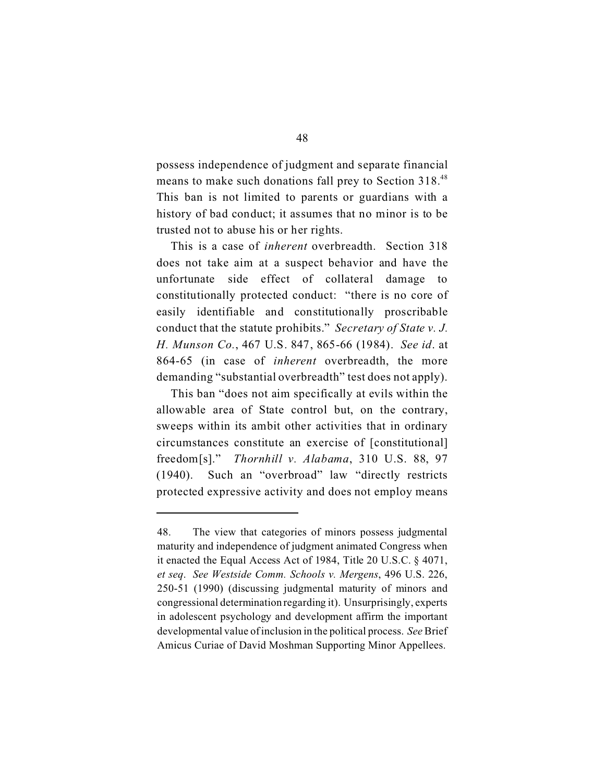possess independence of judgment and separate financial means to make such donations fall prey to Section 318.<sup>48</sup> This ban is not limited to parents or guardians with a history of bad conduct; it assumes that no minor is to be trusted not to abuse his or her rights.

This is a case of *inherent* overbreadth. Section 318 does not take aim at a suspect behavior and have the unfortunate side effect of collateral damage to constitutionally protected conduct: "there is no core of easily identifiable and constitutionally proscribable conduct that the statute prohibits." *Secretary of State v. J. H. Munson Co.*, 467 U.S. 847, 865-66 (1984). *See id*. at 864-65 (in case of *inherent* overbreadth, the more demanding "substantial overbreadth" test does not apply).

This ban "does not aim specifically at evils within the allowable area of State control but, on the contrary, sweeps within its ambit other activities that in ordinary circumstances constitute an exercise of [constitutional] freedom[s]." *Thornhill v. Alabama*, 310 U.S. 88, 97 (1940). Such an "overbroad" law "directly restricts protected expressive activity and does not employ means

<sup>48.</sup> The view that categories of minors possess judgmental maturity and independence of judgment animated Congress when it enacted the Equal Access Act of 1984, Title 20 U.S.C. § 4071, *et seq*. *See Westside Comm. Schools v. Mergens*, 496 U.S. 226, 250-51 (1990) (discussing judgmental maturity of minors and congressional determination regarding it). Unsurprisingly, experts in adolescent psychology and development affirm the important developmental value of inclusion in the political process. *See* Brief Amicus Curiae of David Moshman Supporting Minor Appellees.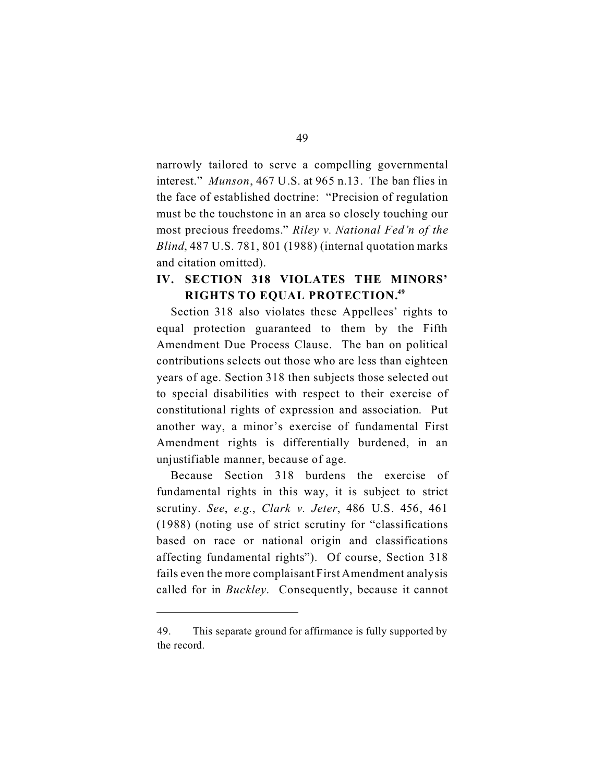narrowly tailored to serve a compelling governmental interest." *Munson*, 467 U.S. at 965 n.13. The ban flies in the face of established doctrine: "Precision of regulation must be the touchstone in an area so closely touching our most precious freedoms." *Riley v. National Fed'n of the Blind*, 487 U.S. 781, 801 (1988) (internal quotation marks and citation omitted).

## **IV. SECTION 318 VIOLATES THE MINORS' RIGHTS TO EQUAL PROTECTION.49**

Section 318 also violates these Appellees' rights to equal protection guaranteed to them by the Fifth Amendment Due Process Clause. The ban on political contributions selects out those who are less than eighteen years of age. Section 318 then subjects those selected out to special disabilities with respect to their exercise of constitutional rights of expression and association. Put another way, a minor's exercise of fundamental First Amendment rights is differentially burdened, in an unjustifiable manner, because of age.

Because Section 318 burdens the exercise of fundamental rights in this way, it is subject to strict scrutiny. *See*, *e.g.*, *Clark v. Jeter*, 486 U.S. 456, 461 (1988) (noting use of strict scrutiny for "classifications based on race or national origin and classifications affecting fundamental rights"). Of course, Section 318 fails even the more complaisant First Amendment analysis called for in *Buckley*. Consequently, because it cannot

<sup>49.</sup> This separate ground for affirmance is fully supported by the record.